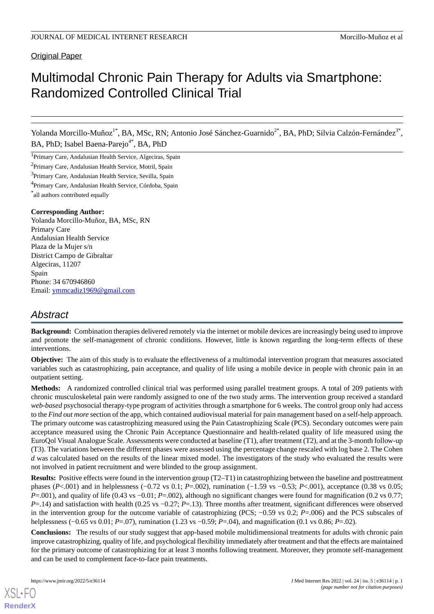# **Original Paper**

# Multimodal Chronic Pain Therapy for Adults via Smartphone: Randomized Controlled Clinical Trial

Yolanda Morcillo-Muñoz<sup>1\*</sup>, BA, MSc, RN; Antonio José Sánchez-Guarnido<sup>2\*</sup>, BA, PhD; Silvia Calzón-Fernández<sup>3\*</sup>, BA, PhD; Isabel Baena-Parejo<sup>4\*</sup>, BA, PhD

<sup>1</sup>Primary Care, Andalusian Health Service, Algeciras, Spain

<sup>2</sup>Primary Care, Andalusian Health Service, Motril, Spain

<sup>3</sup> Primary Care, Andalusian Health Service, Sevilla, Spain

<sup>4</sup>Primary Care, Andalusian Health Service, Córdoba, Spain

\* all authors contributed equally

### **Corresponding Author:**

Yolanda Morcillo-Muñoz, BA, MSc, RN Primary Care Andalusian Health Service Plaza de la Mujer s/n District Campo de Gibraltar Algeciras, 11207 Spain Phone: 34 670946860 Email: [ymmcadiz1969@gmail.com](mailto:ymmcadiz1969@gmail.com)

# *Abstract*

**Background:** Combination therapies delivered remotely via the internet or mobile devices are increasingly being used to improve and promote the self-management of chronic conditions. However, little is known regarding the long-term effects of these interventions.

**Objective:** The aim of this study is to evaluate the effectiveness of a multimodal intervention program that measures associated variables such as catastrophizing, pain acceptance, and quality of life using a mobile device in people with chronic pain in an outpatient setting.

**Methods:** A randomized controlled clinical trial was performed using parallel treatment groups. A total of 209 patients with chronic musculoskeletal pain were randomly assigned to one of the two study arms. The intervention group received a standard *web-based* psychosocial therapy-type program of activities through a smartphone for 6 weeks. The control group only had access to the *Find out more* section of the app, which contained audiovisual material for pain management based on a self-help approach. The primary outcome was catastrophizing measured using the Pain Catastrophizing Scale (PCS). Secondary outcomes were pain acceptance measured using the Chronic Pain Acceptance Questionnaire and health-related quality of life measured using the EuroQol Visual Analogue Scale. Assessments were conducted at baseline (T1), after treatment (T2), and at the 3-month follow-up (T3). The variations between the different phases were assessed using the percentage change rescaled with log base 2. The Cohen *d* was calculated based on the results of the linear mixed model. The investigators of the study who evaluated the results were not involved in patient recruitment and were blinded to the group assignment.

**Results:** Positive effects were found in the intervention group (T2–T1) in catastrophizing between the baseline and posttreatment phases (*P*<.001) and in helplessness (−0.72 vs 0.1; *P*=.002), rumination (−1.59 vs −0.53; *P*<.001), acceptance (0.38 vs 0.05; *P*=.001), and quality of life (0.43 vs −0.01; *P*=.002), although no significant changes were found for magnification (0.2 vs 0.77; *P*=.14) and satisfaction with health (0.25 vs −0.27; *P*=.13). Three months after treatment, significant differences were observed in the intervention group for the outcome variable of catastrophizing (PCS; −0.59 vs 0.2; *P*=.006) and the PCS subscales of helplessness (−0.65 vs 0.01; *P*=.07), rumination (1.23 vs −0.59; *P*=.04), and magnification (0.1 vs 0.86; *P*=.02).

**Conclusions:** The results of our study suggest that app-based mobile multidimensional treatments for adults with chronic pain improve catastrophizing, quality of life, and psychological flexibility immediately after treatment and that the effects are maintained for the primary outcome of catastrophizing for at least 3 months following treatment. Moreover, they promote self-management and can be used to complement face-to-face pain treatments.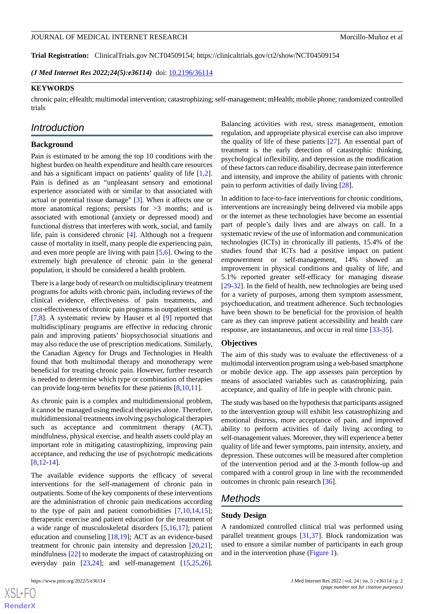**Trial Registration:** ClinicalTrials.gov NCT04509154; https://clinicaltrials.gov/ct2/show/NCT04509154

*(J Med Internet Res 2022;24(5):e36114)* doi:  $10.2196/36114$ 

### **KEYWORDS**

chronic pain; eHealth; multimodal intervention; catastrophizing; self-management; mHealth; mobile phone; randomized controlled trials

# *Introduction*

### **Background**

Pain is estimated to be among the top 10 conditions with the highest burden on health expenditure and health care resources and has a significant impact on patients' quality of life [\[1](#page-15-0),[2\]](#page-15-1). Pain is defined as an "unpleasant sensory and emotional experience associated with or similar to that associated with actual or potential tissue damage" [[3\]](#page-15-2). When it affects one or more anatomical regions; persists for  $>3$  months; and is associated with emotional (anxiety or depressed mood) and functional distress that interferes with work, social, and family life, pain is considered chronic [[4\]](#page-15-3). Although not a frequent cause of mortality in itself, many people die experiencing pain, and even more people are living with pain [[5,](#page-15-4)[6](#page-15-5)]. Owing to the extremely high prevalence of chronic pain in the general population, it should be considered a health problem.

There is a large body of research on multidisciplinary treatment programs for adults with chronic pain, including reviews of the clinical evidence, effectiveness of pain treatments, and cost-effectiveness of chronic pain programs in outpatient settings [[7](#page-15-6)[,8](#page-15-7)]. A systematic review by Hauser et al [\[9](#page-15-8)] reported that multidisciplinary programs are effective in reducing chronic pain and improving patients' biopsychosocial situations and may also reduce the use of prescription medications. Similarly, the Canadian Agency for Drugs and Technologies in Health found that both multimodal therapy and monotherapy were beneficial for treating chronic pain. However, further research is needed to determine which type or combination of therapies can provide long-term benefits for these patients [[8](#page-15-7)[,10](#page-15-9),[11\]](#page-15-10).

As chronic pain is a complex and multidimensional problem, it cannot be managed using medical therapies alone. Therefore, multidimensional treatments involving psychological therapies such as acceptance and commitment therapy (ACT), mindfulness, physical exercise, and health assets could play an important role in mitigating catastrophizing, improving pain acceptance, and reducing the use of psychotropic medications [[8](#page-15-7)[,12](#page-15-11)-[14\]](#page-16-0).

The available evidence supports the efficacy of several interventions for the self-management of chronic pain in outpatients. Some of the key components of these interventions are the administration of chronic pain medications according to the type of pain and patient comorbidities [\[7](#page-15-6)[,10](#page-15-9)[,14](#page-16-0),[15\]](#page-16-1); therapeutic exercise and patient education for the treatment of a wide range of musculoskeletal disorders [\[5](#page-15-4),[16](#page-16-2)[,17](#page-16-3)]; patient education and counseling [[18](#page-16-4)[,19](#page-16-5)]; ACT as an evidence-based treatment for chronic pain intensity and depression  $[20,21]$  $[20,21]$  $[20,21]$ ; mindfulness [\[22](#page-16-8)] to moderate the impact of catastrophizing on everyday pain [[23](#page-16-9)[,24](#page-16-10)]; and self-management [[15](#page-16-1)[,25](#page-16-11),[26\]](#page-16-12).

Balancing activities with rest, stress management, emotion regulation, and appropriate physical exercise can also improve the quality of life of these patients [[27\]](#page-16-13). An essential part of treatment is the early detection of catastrophic thinking, psychological inflexibility, and depression as the modification of these factors can reduce disability, decrease pain interference and intensity, and improve the ability of patients with chronic pain to perform activities of daily living [[28\]](#page-16-14).

In addition to face-to-face interventions for chronic conditions, interventions are increasingly being delivered via mobile apps or the internet as these technologies have become an essential part of people's daily lives and are always on call. In a systematic review of the use of information and communication technologies (ICTs) in chronically ill patients, 15.4% of the studies found that ICTs had a positive impact on patient empowerment or self-management, 14% showed an improvement in physical conditions and quality of life, and 5.1% reported greater self-efficacy for managing disease [[29](#page-16-15)[-32](#page-16-16)]. In the field of health, new technologies are being used for a variety of purposes, among them symptom assessment, psychoeducation, and treatment adherence. Such technologies have been shown to be beneficial for the provision of health care as they can improve patient accessibility and health care response, are instantaneous, and occur in real time [[33-](#page-16-17)[35](#page-16-18)].

### **Objectives**

The aim of this study was to evaluate the effectiveness of a multimodal intervention program using a web-based smartphone or mobile device app. The app assesses pain perception by means of associated variables such as catastrophizing, pain acceptance, and quality of life in people with chronic pain.

The study was based on the hypothesis that participants assigned to the intervention group will exhibit less catastrophizing and emotional distress, more acceptance of pain, and improved ability to perform activities of daily living according to self-management values. Moreover, they will experience a better quality of life and fewer symptoms, pain intensity, anxiety, and depression. These outcomes will be measured after completion of the intervention period and at the 3-month follow-up and compared with a control group in line with the recommended outcomes in chronic pain research [\[36](#page-17-0)].

# *Methods*

### **Study Design**

A randomized controlled clinical trial was performed using parallel treatment groups [[31,](#page-16-19)[37](#page-17-1)]. Block randomization was used to ensure a similar number of participants in each group and in the intervention phase ([Figure 1](#page-2-0)).

```
XSL•FCRenderX
```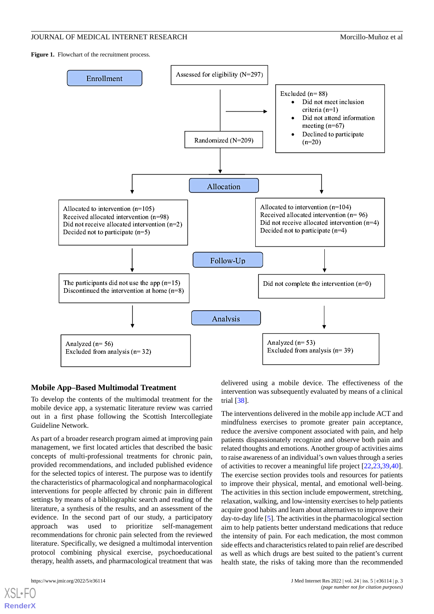<span id="page-2-0"></span>Figure 1. Flowchart of the recruitment process.



# **Mobile App–Based Multimodal Treatment**

To develop the contents of the multimodal treatment for the mobile device app, a systematic literature review was carried out in a first phase following the Scottish Intercollegiate Guideline Network.

As part of a broader research program aimed at improving pain management, we first located articles that described the basic concepts of multi-professional treatments for chronic pain, provided recommendations, and included published evidence for the selected topics of interest. The purpose was to identify the characteristics of pharmacological and nonpharmacological interventions for people affected by chronic pain in different settings by means of a bibliographic search and reading of the literature, a synthesis of the results, and an assessment of the evidence. In the second part of our study, a participatory approach was used to prioritize self-management recommendations for chronic pain selected from the reviewed literature. Specifically, we designed a multimodal intervention protocol combining physical exercise, psychoeducational therapy, health assets, and pharmacological treatment that was

[XSL](http://www.w3.org/Style/XSL)•FO **[RenderX](http://www.renderx.com/)**

delivered using a mobile device. The effectiveness of the intervention was subsequently evaluated by means of a clinical trial [[38\]](#page-17-2).

The interventions delivered in the mobile app include ACT and mindfulness exercises to promote greater pain acceptance, reduce the aversive component associated with pain, and help patients dispassionately recognize and observe both pain and related thoughts and emotions. Another group of activities aims to raise awareness of an individual's own values through a series of activities to recover a meaningful life project [\[22](#page-16-8),[23](#page-16-9)[,39](#page-17-3),[40\]](#page-17-4). The exercise section provides tools and resources for patients to improve their physical, mental, and emotional well-being. The activities in this section include empowerment, stretching, relaxation, walking, and low-intensity exercises to help patients acquire good habits and learn about alternatives to improve their day-to-day life [[5\]](#page-15-4). The activities in the pharmacological section aim to help patients better understand medications that reduce the intensity of pain. For each medication, the most common side effects and characteristics related to pain relief are described as well as which drugs are best suited to the patient's current health state, the risks of taking more than the recommended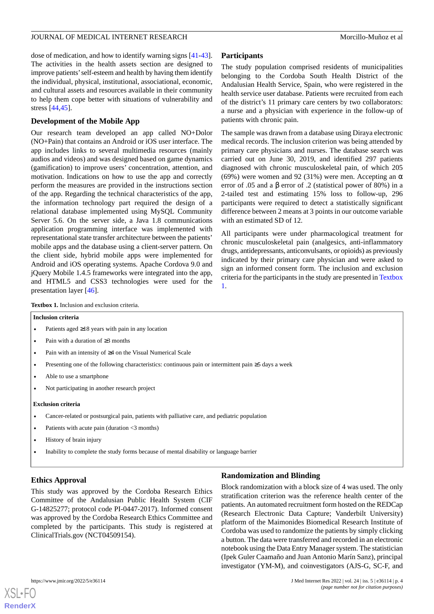dose of medication, and how to identify warning signs [\[41](#page-17-5)-[43\]](#page-17-6). The activities in the health assets section are designed to improve patients'self-esteem and health by having them identify the individual, physical, institutional, associational, economic, and cultural assets and resources available in their community to help them cope better with situations of vulnerability and stress [[44,](#page-17-7)[45](#page-17-8)].

# **Development of the Mobile App**

Our research team developed an app called NO+Dolor (NO+Pain) that contains an Android or iOS user interface. The app includes links to several multimedia resources (mainly audios and videos) and was designed based on game dynamics (gamification) to improve users' concentration, attention, and motivation. Indications on how to use the app and correctly perform the measures are provided in the instructions section of the app. Regarding the technical characteristics of the app, the information technology part required the design of a relational database implemented using MySQL Community Server 5.6. On the server side, a Java 1.8 communications application programming interface was implemented with representational state transfer architecture between the patients' mobile apps and the database using a client-server pattern. On the client side, hybrid mobile apps were implemented for Android and iOS operating systems. Apache Cordova 9.0 and jQuery Mobile 1.4.5 frameworks were integrated into the app, and HTML5 and CSS3 technologies were used for the presentation layer [[46\]](#page-17-9).

# **Participants**

The study population comprised residents of municipalities belonging to the Cordoba South Health District of the Andalusian Health Service, Spain, who were registered in the health service user database. Patients were recruited from each of the district's 11 primary care centers by two collaborators: a nurse and a physician with experience in the follow-up of patients with chronic pain.

The sample was drawn from a database using Diraya electronic medical records. The inclusion criterion was being attended by primary care physicians and nurses. The database search was carried out on June 30, 2019, and identified 297 patients diagnosed with chronic musculoskeletal pain, of which 205 (69%) were women and 92 (31%) were men. Accepting an  $\alpha$ error of .05 and a  $\beta$  error of .2 (statistical power of 80%) in a 2-tailed test and estimating 15% loss to follow-up, 296 participants were required to detect a statistically significant difference between 2 means at 3 points in our outcome variable with an estimated SD of 12.

All participants were under pharmacological treatment for chronic musculoskeletal pain (analgesics, anti-inflammatory drugs, antidepressants, anticonvulsants, or opioids) as previously indicated by their primary care physician and were asked to sign an informed consent form. The inclusion and exclusion criteria for the participants in the study are presented in [Textbox](#page-3-0) [1.](#page-3-0)

<span id="page-3-0"></span>**Textbox 1.** Inclusion and exclusion criteria.

# **Inclusion criteria**

- Patients aged ≥18 years with pain in any location
- Pain with a duration of ≥3 months
- Pain with an intensity of ≥4 on the Visual Numerical Scale
- Presenting one of the following characteristics: continuous pain or intermittent pain ≥5 days a week
- Able to use a smartphone
- Not participating in another research project

### **Exclusion criteria**

- Cancer-related or postsurgical pain, patients with palliative care, and pediatric population
- Patients with acute pain (duration <3 months)
- History of brain injury
- Inability to complete the study forms because of mental disability or language barrier

# **Ethics Approval**

This study was approved by the Cordoba Research Ethics Committee of the Andalusian Public Health System (CIF G-14825277; protocol code PI-0447-2017). Informed consent was approved by the Cordoba Research Ethics Committee and completed by the participants. This study is registered at ClinicalTrials.gov (NCT04509154).

# **Randomization and Blinding**

Block randomization with a block size of 4 was used. The only stratification criterion was the reference health center of the patients. An automated recruitment form hosted on the REDCap (Research Electronic Data Capture; Vanderbilt University) platform of the Maimonides Biomedical Research Institute of Cordoba was used to randomize the patients by simply clicking a button. The data were transferred and recorded in an electronic notebook using the Data Entry Manager system. The statistician (Ipek Guler Caamaño and Juan Antonio Marín Sanz), principal investigator (YM-M), and coinvestigators (AJS-G, SC-F, and

```
XSL•FO
RenderX
```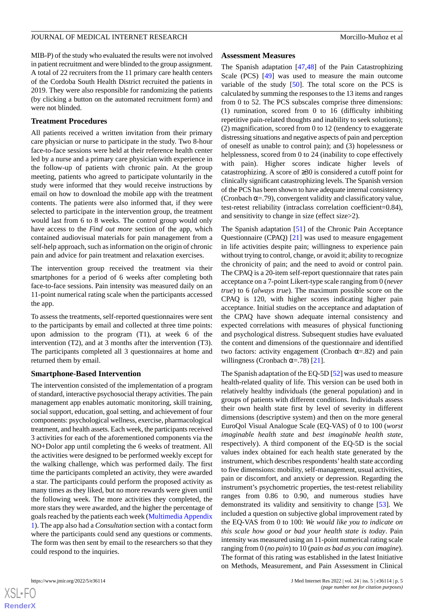MIB-P) of the study who evaluated the results were not involved in patient recruitment and were blinded to the group assignment. A total of 22 recruiters from the 11 primary care health centers of the Cordoba South Health District recruited the patients in 2019. They were also responsible for randomizing the patients (by clicking a button on the automated recruitment form) and were not blinded.

# **Treatment Procedures**

All patients received a written invitation from their primary care physician or nurse to participate in the study. Two 8-hour face-to-face sessions were held at their reference health center led by a nurse and a primary care physician with experience in the follow-up of patients with chronic pain. At the group meeting, patients who agreed to participate voluntarily in the study were informed that they would receive instructions by email on how to download the mobile app with the treatment contents. The patients were also informed that, if they were selected to participate in the intervention group, the treatment would last from 6 to 8 weeks. The control group would only have access to the *Find out more* section of the app, which contained audiovisual materials for pain management from a self-help approach, such as information on the origin of chronic pain and advice for pain treatment and relaxation exercises.

The intervention group received the treatment via their smartphones for a period of 6 weeks after completing both face-to-face sessions. Pain intensity was measured daily on an 11-point numerical rating scale when the participants accessed the app.

To assess the treatments, self-reported questionnaires were sent to the participants by email and collected at three time points: upon admission to the program (T1), at week 6 of the intervention (T2), and at 3 months after the intervention (T3). The participants completed all 3 questionnaires at home and returned them by email.

### **Smartphone-Based Intervention**

The intervention consisted of the implementation of a program of standard, interactive psychosocial therapy activities. The pain management app enables automatic monitoring, skill training, social support, education, goal setting, and achievement of four components: psychological wellness, exercise, pharmacological treatment, and health assets. Each week, the participants received 3 activities for each of the aforementioned components via the NO+Dolor app until completing the 6 weeks of treatment. All the activities were designed to be performed weekly except for the walking challenge, which was performed daily. The first time the participants completed an activity, they were awarded a star. The participants could perform the proposed activity as many times as they liked, but no more rewards were given until the following week. The more activities they completed, the more stars they were awarded, and the higher the percentage of goals reached by the patients each week ([Multimedia Appendix](#page-15-12) [1\)](#page-15-12). The app also had a *Consultation* section with a contact form where the participants could send any questions or comments. The form was then sent by email to the researchers so that they could respond to the inquiries.

### **Assessment Measures**

The Spanish adaptation [\[47](#page-17-10)[,48](#page-17-11)] of the Pain Catastrophizing Scale (PCS) [\[49](#page-17-12)] was used to measure the main outcome variable of the study  $[50]$  $[50]$ . The total score on the PCS is calculated by summing the responses to the 13 items and ranges from 0 to 52. The PCS subscales comprise three dimensions: (1) rumination, scored from 0 to 16 (difficulty inhibiting repetitive pain-related thoughts and inability to seek solutions); (2) magnification, scored from 0 to 12 (tendency to exaggerate distressing situations and negative aspects of pain and perception of oneself as unable to control pain); and (3) hopelessness or helplessness, scored from 0 to 24 (inability to cope effectively with pain). Higher scores indicate higher levels of catastrophizing. A score of ≥30 is considered a cutoff point for clinically significant catastrophizing levels. The Spanish version of the PCS has been shown to have adequate internal consistency (Cronbach  $\alpha = .79$ ), convergent validity and classificatory value, test-retest reliability (intraclass correlation coefficient=0.84), and sensitivity to change in size (effect size>2).

The Spanish adaptation [[51\]](#page-17-14) of the Chronic Pain Acceptance Questionnaire (CPAQ) [\[21](#page-16-7)] was used to measure engagement in life activities despite pain; willingness to experience pain without trying to control, change, or avoid it; ability to recognize the chronicity of pain; and the need to avoid or control pain. The CPAQ is a 20-item self-report questionnaire that rates pain acceptance on a 7-point Likert-type scale ranging from 0 (*never true*) to 6 (*always true*). The maximum possible score on the CPAQ is 120, with higher scores indicating higher pain acceptance. Initial studies on the acceptance and adaptation of the CPAQ have shown adequate internal consistency and expected correlations with measures of physical functioning and psychological distress. Subsequent studies have evaluated the content and dimensions of the questionnaire and identified two factors: activity engagement (Cronbach  $\alpha = 0.82$ ) and pain willingness (Cronbach  $\alpha = .78$ ) [\[21](#page-16-7)].

The Spanish adaptation of the EQ-5D [[52\]](#page-17-15) was used to measure health-related quality of life. This version can be used both in relatively healthy individuals (the general population) and in groups of patients with different conditions. Individuals assess their own health state first by level of severity in different dimensions (descriptive system) and then on the more general EuroQol Visual Analogue Scale (EQ-VAS) of 0 to 100 (*worst imaginable health state* and *best imaginable health state*, respectively). A third component of the EQ-5D is the social values index obtained for each health state generated by the instrument, which describes respondents'health state according to five dimensions: mobility, self-management, usual activities, pain or discomfort, and anxiety or depression. Regarding the instrument's psychometric properties, the test-retest reliability ranges from 0.86 to 0.90, and numerous studies have demonstrated its validity and sensitivity to change [[53\]](#page-17-16). We included a question on subjective global improvement rated by the EQ-VAS from 0 to 100: *We would like you to indicate on this scale how good or bad your health state is today*. Pain intensity was measured using an 11-point numerical rating scale ranging from 0 (*no pain*) to 10 (*pain as bad as you can imagine*). The format of this rating was established in the latest Initiative on Methods, Measurement, and Pain Assessment in Clinical

 $XS$  • FC **[RenderX](http://www.renderx.com/)**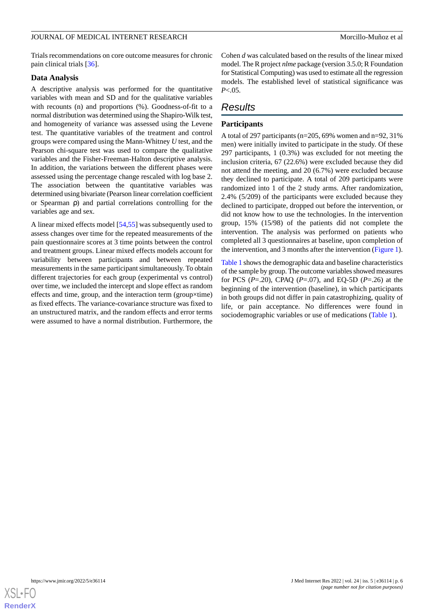Trials recommendations on core outcome measures for chronic pain clinical trials [\[36](#page-17-0)].

### **Data Analysis**

A descriptive analysis was performed for the quantitative variables with mean and SD and for the qualitative variables with recounts (n) and proportions (%). Goodness-of-fit to a normal distribution was determined using the Shapiro-Wilk test, and homogeneity of variance was assessed using the Levene test. The quantitative variables of the treatment and control groups were compared using the Mann-Whitney *U* test, and the Pearson chi-square test was used to compare the qualitative variables and the Fisher-Freeman-Halton descriptive analysis. In addition, the variations between the different phases were assessed using the percentage change rescaled with log base 2. The association between the quantitative variables was determined using bivariate (Pearson linear correlation coefficient or Spearman ρ) and partial correlations controlling for the variables age and sex.

A linear mixed effects model [\[54](#page-17-17),[55\]](#page-17-18) was subsequently used to assess changes over time for the repeated measurements of the pain questionnaire scores at 3 time points between the control and treatment groups. Linear mixed effects models account for variability between participants and between repeated measurements in the same participant simultaneously. To obtain different trajectories for each group (experimental vs control) over time, we included the intercept and slope effect as random effects and time, group, and the interaction term (group×time) as fixed effects. The variance-covariance structure was fixed to an unstructured matrix, and the random effects and error terms were assumed to have a normal distribution. Furthermore, the

Cohen *d* was calculated based on the results of the linear mixed model. The R project *nlme* package (version 3.5.0; R Foundation for Statistical Computing) was used to estimate all the regression models. The established level of statistical significance was *P*<.05.

# *Results*

# **Participants**

A total of 297 participants (n=205, 69% women and n=92, 31% men) were initially invited to participate in the study. Of these 297 participants, 1 (0.3%) was excluded for not meeting the inclusion criteria, 67 (22.6%) were excluded because they did not attend the meeting, and 20 (6.7%) were excluded because they declined to participate. A total of 209 participants were randomized into 1 of the 2 study arms. After randomization, 2.4% (5/209) of the participants were excluded because they declined to participate, dropped out before the intervention, or did not know how to use the technologies. In the intervention group, 15% (15/98) of the patients did not complete the intervention. The analysis was performed on patients who completed all 3 questionnaires at baseline, upon completion of the intervention, and 3 months after the intervention ([Figure 1\)](#page-2-0).

[Table 1](#page-6-0) shows the demographic data and baseline characteristics of the sample by group. The outcome variables showed measures for PCS (*P*=.20), CPAQ (*P*=.07), and EQ-5D (*P*=.26) at the beginning of the intervention (baseline), in which participants in both groups did not differ in pain catastrophizing, quality of life, or pain acceptance. No differences were found in sociodemographic variables or use of medications ([Table 1\)](#page-6-0).

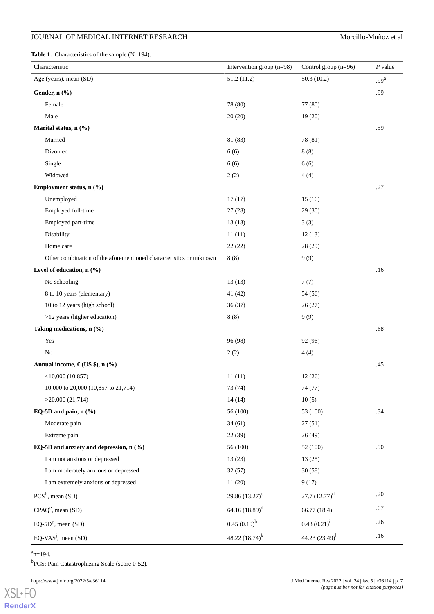<span id="page-6-0"></span>Table 1. Characteristics of the sample (N=194).

| Characteristic                                                     | Intervention group (n=98) | Control group (n=96)        | $P$ value        |
|--------------------------------------------------------------------|---------------------------|-----------------------------|------------------|
| Age (years), mean (SD)                                             | 51.2 (11.2)               | 50.3(10.2)                  | .99 <sup>a</sup> |
| Gender, n (%)                                                      |                           |                             | .99              |
| Female                                                             | 78 (80)                   | 77 (80)                     |                  |
| Male                                                               | 20(20)                    | 19(20)                      |                  |
| Marital status, n (%)                                              |                           |                             | .59              |
| Married                                                            | 81 (83)                   | 78 (81)                     |                  |
| Divorced                                                           | 6(6)                      | 8(8)                        |                  |
| Single                                                             | 6(6)                      | 6(6)                        |                  |
| Widowed                                                            | 2(2)                      | 4(4)                        |                  |
| Employment status, n (%)                                           |                           |                             | .27              |
| Unemployed                                                         | 17(17)                    | 15(16)                      |                  |
| Employed full-time                                                 | 27(28)                    | 29(30)                      |                  |
| Employed part-time                                                 | 13(13)                    | 3(3)                        |                  |
| Disability                                                         | 11(11)                    | 12(13)                      |                  |
| Home care                                                          | 22(22)                    | 28(29)                      |                  |
| Other combination of the aforementioned characteristics or unknown | 8(8)                      | 9(9)                        |                  |
| Level of education, n (%)                                          |                           |                             | .16              |
| No schooling                                                       | 13(13)                    | 7(7)                        |                  |
| 8 to 10 years (elementary)                                         | 41 (42)                   | 54 (56)                     |                  |
| 10 to 12 years (high school)                                       | 36(37)                    | 26(27)                      |                  |
| >12 years (higher education)                                       | 8(8)                      | 9(9)                        |                  |
| Taking medications, n (%)                                          |                           |                             | .68              |
| Yes                                                                | 96 (98)                   | 92 (96)                     |                  |
| N <sub>o</sub>                                                     | 2(2)                      | 4(4)                        |                  |
| Annual income, $\epsilon$ (US \$), n (%)                           |                           |                             | .45              |
| $<$ 10,000 (10,857)                                                | 11(11)                    | 12(26)                      |                  |
| 10,000 to 20,000 (10,857 to 21,714)                                | 73 (74)                   | 74 (77)                     |                  |
| >20,000(21,714)                                                    | 14(14)                    | 10(5)                       |                  |
| EQ-5D and pain, $n$ (%)                                            | 56 (100)                  | 53 (100)                    | .34              |
| Moderate pain                                                      | 34(61)                    | 27(51)                      |                  |
| Extreme pain                                                       | 22(39)                    | 26(49)                      |                  |
| EQ-5D and anxiety and depression, n (%)                            | 56 (100)                  | 52 (100)                    | .90              |
| I am not anxious or depressed                                      | 13(23)                    | 13(25)                      |                  |
| I am moderately anxious or depressed                               | 32(57)                    | 30(58)                      |                  |
| I am extremely anxious or depressed                                | 11(20)                    | 9(17)                       |                  |
| $PCS^b$ , mean (SD)                                                | 29.86 $(13.27)^c$         | $27.7(12.77)^{d}$           | .20              |
| $CPAQe$ , mean (SD)                                                | 64.16 $(18.89)^d$         | 66.77 $(18.4)$ <sup>f</sup> | $.07$            |
| $EQ-5Dg$ , mean (SD)                                               | $0.45(0.19)^h$            | $0.43(0.21)^{i}$            | .26              |
| EQ-VAS <sup>j</sup> , mean $(SD)$                                  | 48.22 $(18.74)^k$         | 44.23 $(23.49)^1$           | .16              |

 $a_{n=194}$ .

<sup>b</sup>PCS: Pain Catastrophizing Scale (score 0-52).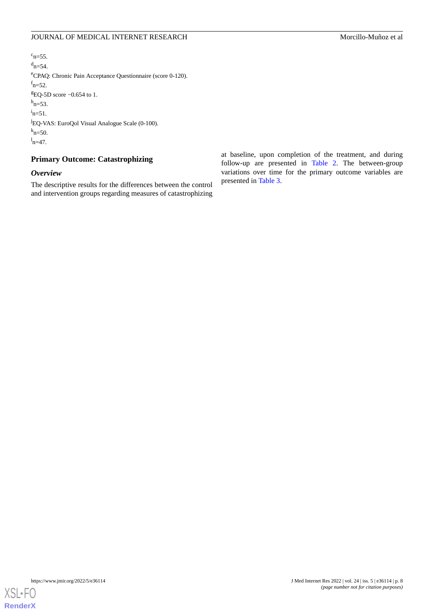$c_{n=55}$ .  $d_{n=54}$ . <sup>e</sup>CPAQ: Chronic Pain Acceptance Questionnaire (score 0-120).  $f_{\text{n=52}}$ .  $EQ$ -5D score  $-0.654$  to 1.  $h_{n=53}$ .  $i_{n=51}$ . <sup>j</sup>EQ-VAS: EuroQol Visual Analogue Scale (0-100).  $k_{n=50}$ .  $n=47$ .

# **Primary Outcome: Catastrophizing**

# *Overview*

The descriptive results for the differences between the control and intervention groups regarding measures of catastrophizing at baseline, upon completion of the treatment, and during follow-up are presented in [Table 2](#page-8-0). The between-group variations over time for the primary outcome variables are presented in [Table 3](#page-9-0).

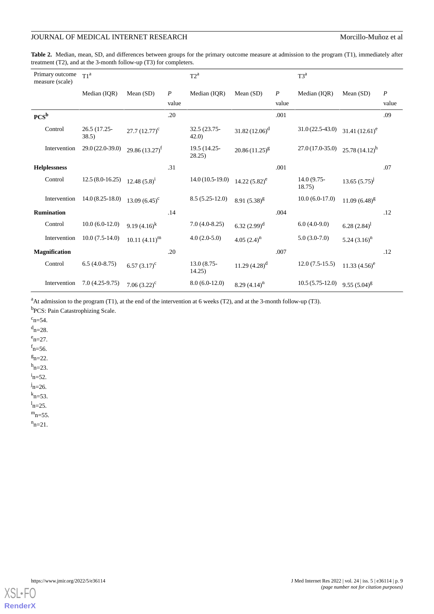<span id="page-8-0"></span>**Table 2.** Median, mean, SD, and differences between groups for the primary outcome measure at admission to the program (T1), immediately after treatment (T2), and at the 3-month follow-up (T3) for completers.

| Primary outcome<br>measure (scale) | T1 <sup>a</sup>       |                              |                  | $T2^a$                |                    |                  | $T3^a$                |                   |                  |
|------------------------------------|-----------------------|------------------------------|------------------|-----------------------|--------------------|------------------|-----------------------|-------------------|------------------|
|                                    | Median (IOR)          | Mean $(SD)$                  | $\boldsymbol{P}$ | Median (IOR)          | Mean $(SD)$        | $\boldsymbol{P}$ | Median (IOR)          | Mean $(SD)$       | $\boldsymbol{P}$ |
|                                    |                       |                              | value            |                       |                    | value            |                       |                   | value            |
| $PCS^b$                            |                       |                              | .20              |                       |                    | .001             |                       |                   | .09              |
| Control                            | 26.5 (17.25-<br>38.5) | $27.7 (12.77)^c$             |                  | 32.5 (23.75-<br>42.0  | $31.82 (12.06)^d$  |                  | $31.0(22.5-43.0)$     | 31.41 $(12.61)^e$ |                  |
| Intervention                       | 29.0 (22.0-39.0)      | 29.86 $(13.27)$ <sup>f</sup> |                  | 19.5 (14.25-<br>28.25 | $20.86(11.25)^{g}$ |                  | $27.0(17.0-35.0)$     | $25.78(14.12)^h$  |                  |
| <b>Helplessness</b>                |                       |                              | .31              |                       |                    | .001             |                       |                   | .07              |
| Control                            | $12.5(8.0-16.25)$     | $12.48(5.8)^1$               |                  | $14.0(10.5-19.0)$     | 14.22 $(5.82)^e$   |                  | 14.0 (9.75-<br>18.75) | $13.65(5.75)^{j}$ |                  |
| Intervention                       | $14.0(8.25-18.0)$     | 13.09 $(6.45)^{c}$           |                  | $8.5(5.25-12.0)$      | 8.91 $(5.38)^g$    |                  | $10.0(6.0-17.0)$      | $11.09(6.48)^{g}$ |                  |
| <b>Rumination</b>                  |                       |                              | .14              |                       |                    | .004             |                       |                   | .12              |
| Control                            | $10.0(6.0-12.0)$      | 9.19 $(4.16)^k$              |                  | $7.0(4.0-8.25)$       | 6.32 $(2.99)^d$    |                  | $6.0(4.0-9.0)$        | 6.28 $(2.84)^1$   |                  |
| Intervention                       | $10.0(7.5-14.0)$      | $10.11 (4.11)^m$             |                  | $4.0(2.0-5.0)$        | 4.05 $(2.4)^n$     |                  | $5.0(3.0-7.0)$        | 5.24 $(3.16)^n$   |                  |
| <b>Magnification</b>               |                       |                              | .20              |                       |                    | .007             |                       |                   | .12              |
| Control                            | $6.5(4.0-8.75)$       | 6.57 $(3.17)^c$              |                  | 13.0 (8.75-<br>14.25) | 11.29 $(4.28)^d$   |                  | $12.0(7.5-15.5)$      | 11.33 $(4.56)^e$  |                  |
| Intervention                       | $7.0(4.25-9.75)$      | 7.06 $(3.22)^c$              |                  | $8.0(6.0-12.0)$       | 8.29 $(4.14)^n$    |                  | $10.5(5.75-12.0)$     | 9.55 $(5.04)^{g}$ |                  |

 $A$ t admission to the program (T1), at the end of the intervention at 6 weeks (T2), and at the 3-month follow-up (T3).

<sup>b</sup>PCS: Pain Catastrophizing Scale.

 $c_{n=54}$ .

 $d_{n=28}$ .  $e_{n=27}$ 

 $f_{\text{n=56}}$ .

 $g_{n=22}$ .

 $h_{n=23}$ .

 $i_{n=52}$ .

 $j_{n=26}$ .

 $k_{n=53}$ .

 $n=25$ .  $m_{n=55}$ .

 $n_{n=21}$ .

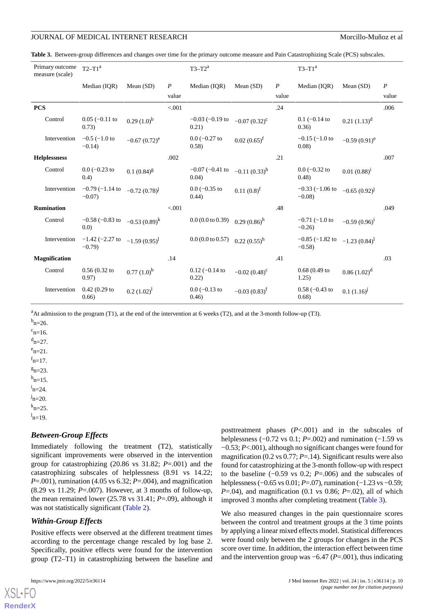<span id="page-9-0"></span>**Table 3.** Between-group differences and changes over time for the primary outcome measure and Pain Catastrophizing Scale (PCS) subscales.

| Primary outcome<br>measure (scale) | $T2-T1a$                                                 |                   |                  | $T3-T2^a$                     |                   |                  | $T3-T1^a$                       |                   |                  |
|------------------------------------|----------------------------------------------------------|-------------------|------------------|-------------------------------|-------------------|------------------|---------------------------------|-------------------|------------------|
|                                    | Median (IOR)                                             | Mean $(SD)$       | $\boldsymbol{P}$ | Median (IOR)                  | Mean $(SD)$       | $\boldsymbol{P}$ | Median (IOR)                    | Mean $(SD)$       | $\boldsymbol{P}$ |
|                                    |                                                          |                   | value            |                               |                   | value            |                                 |                   | value            |
| <b>PCS</b>                         |                                                          |                   | < .001           |                               |                   | .24              |                                 |                   | .006             |
| Control                            | $0.05$ (-0.11 to<br>0.73)                                | $0.29(1.0)^{b}$   |                  | $-0.03$ ( $-0.19$ to<br>0.21) | $-0.07(0.32)^{c}$ |                  | $0.1$ (-0.14 to<br>(0.36)       | $0.21$ $(1.13)^d$ |                  |
| Intervention                       | $-0.5$ ( $-1.0$ to<br>$-0.14$                            | $-0.67(0.72)^e$   |                  | $0.0$ (-0.27 to<br>(0.58)     | $0.02(0.65)^f$    |                  | $-0.15$ ( $-1.0$ to<br>0.08     | $-0.59(0.91)^e$   |                  |
| <b>Helplessness</b>                |                                                          |                   | .002             |                               |                   | .21              |                                 |                   | .007             |
| Control                            | $0.0$ (-0.23 to<br>(0.4)                                 | $0.1(0.84)^{g}$   |                  | $-0.07$ ( $-0.41$ to<br>0.04) | $-0.11(0.33)^h$   |                  | $0.0$ (-0.32 to<br>(0.48)       | $0.01~(0.88)^1$   |                  |
| Intervention                       | $-0.79$ $(-1.14$ to<br>$-0.07$                           | $-0.72(0.78)^{J}$ |                  | $0.0$ ( $-0.35$ to<br>(0.44)  | $0.11(0.8)^f$     |                  | $-0.33$ $(-1.06$ to<br>$-0.08$  | $-0.65(0.92)^{J}$ |                  |
| <b>Rumination</b>                  |                                                          |                   | < .001           |                               |                   | .48              |                                 |                   | .049             |
| Control                            | $-0.58$ (-0.83 to $-0.53$ (0.89) <sup>k</sup><br>(0.0)   |                   |                  | $0.0(0.0 \text{ to } 0.39)$   | $0.29(0.86)^h$    |                  | $-0.71$ ( $-1.0$ to<br>$-0.26$  | $-0.59(0.96)^1$   |                  |
| Intervention                       | $-1.42$ (-2.27 to $-1.59$ (0.95) <sup>1</sup><br>$-0.79$ |                   |                  | $0.0$ (0.0 to 0.57)           | $0.22(0.55)^h$    |                  | $-0.85$ ( $-1.82$ to<br>$-0.58$ | $-1.23(0.84)^{1}$ |                  |
| <b>Magnification</b>               |                                                          |                   | .14              |                               |                   | .41              |                                 |                   | .03              |
| Control                            | $0.56(0.32)$ to<br>0.97)                                 | $0.77(1.0)^{b}$   |                  | $0.12$ (-0.14 to<br>0.22)     | $-0.02(0.48)^{c}$ |                  | $0.68(0.49)$ to<br>1.25)        | $0.86(1.02)^d$    |                  |
| Intervention                       | $0.42(0.29)$ to<br>0.66)                                 | $0.2 (1.02)^{1}$  |                  | $0.0$ (-0.13 to<br>0.46)      | $-0.03(0.83)^f$   |                  | $0.58$ (-0.43 to<br>0.68)       | $0.1(1.16)^{j}$   |                  |

<sup>a</sup>At admission to the program (T1), at the end of the intervention at 6 weeks (T2), and at the 3-month follow-up (T3).

 $b_{n=26}$ .

 $c_{n=16}$ .  $d_{n=27}$ .  $e_{n=21}$ .  $f_{\text{n=17}}$ .

 $g_{n=23}$ .

 $h_{n=15}$ .

 $i_{n=24}$ .

 $j_{n=20}$ .

 $k_{n=25}$ .

 $l_{\rm n=19}$ .

# *Between-Group Effects*

Immediately following the treatment (T2), statistically significant improvements were observed in the intervention group for catastrophizing (20.86 vs 31.82; *P*=.001) and the catastrophizing subscales of helplessness (8.91 vs 14.22; *P*=.001), rumination (4.05 vs 6.32; *P*=.004), and magnification (8.29 vs 11.29; *P*=.007). However, at 3 months of follow-up, the mean remained lower (25.78 vs 31.41; *P*=.09), although it was not statistically significant ([Table 2](#page-8-0)).

# *Within-Group Effects*

Positive effects were observed at the different treatment times according to the percentage change rescaled by log base 2. Specifically, positive effects were found for the intervention group (T2–T1) in catastrophizing between the baseline and

posttreatment phases (*P*<.001) and in the subscales of helplessness (−0.72 vs 0.1; *P*=.002) and rumination (−1.59 vs −0.53; *P*<.001), although no significant changes were found for magnification (0.2 vs 0.77; *P*=.14). Significant results were also found for catastrophizing at the 3-month follow-up with respect to the baseline (−0.59 vs 0.2; *P*=.006) and the subscales of helplessness (–0.65 vs 0.01; *P*=.07), rumination (–1.23 vs –0.59;  $P=0.04$ ), and magnification (0.1 vs 0.86;  $P=0.02$ ), all of which improved 3 months after completing treatment ([Table 3](#page-9-0)).

We also measured changes in the pain questionnaire scores between the control and treatment groups at the 3 time points by applying a linear mixed effects model. Statistical differences were found only between the 2 groups for changes in the PCS score over time. In addition, the interaction effect between time and the intervention group was −6.47 (*P*=.001), thus indicating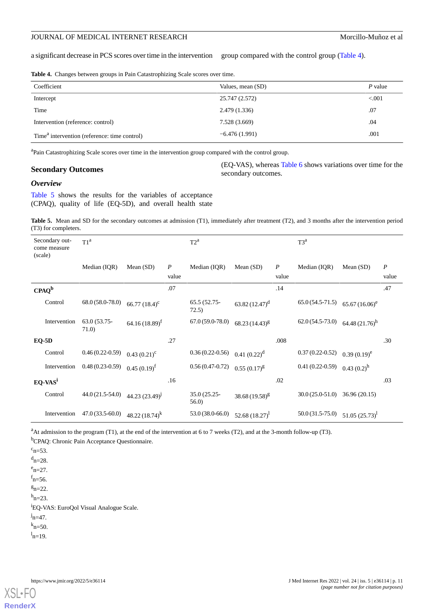a significant decrease in PCS scores over time in the intervention group compared with the control group [\(Table 4\)](#page-10-0).

<span id="page-10-0"></span>**Table 4.** Changes between groups in Pain Catastrophizing Scale scores over time.

| Coefficient                                              | Values, mean (SD) | $P$ value |
|----------------------------------------------------------|-------------------|-----------|
| Intercept                                                | 25.747 (2.572)    | < 0.001   |
| Time                                                     | 2.479 (1.336)     | .07       |
| Intervention (reference: control)                        | 7.528 (3.669)     | .04       |
| Time <sup>a</sup> intervention (reference: time control) | $-6.476(1.991)$   | .001      |

<sup>a</sup>Pain Catastrophizing Scale scores over time in the intervention group compared with the control group.

### **Secondary Outcomes**

(EQ-VAS), whereas [Table 6](#page-11-0) shows variations over time for the secondary outcomes.

# *Overview*

<span id="page-10-1"></span>[Table 5](#page-10-1) shows the results for the variables of acceptance (CPAQ), quality of life (EQ-5D), and overall health state

**Table 5.** Mean and SD for the secondary outcomes at admission (T1), immediately after treatment (T2), and 3 months after the intervention period (T3) for completers.

| (scale) | Secondary out-<br>come measure | T1 <sup>a</sup>      |                     |                  | $T2^a$                |                     |                  | $T3^a$            |                     |                  |
|---------|--------------------------------|----------------------|---------------------|------------------|-----------------------|---------------------|------------------|-------------------|---------------------|------------------|
|         |                                | Median (IQR)         | Mean $(SD)$         | $\boldsymbol{P}$ | Median (IQR)          | Mean $(SD)$         | $\boldsymbol{P}$ | Median (IQR)      | Mean $(SD)$         | $\boldsymbol{P}$ |
|         |                                |                      |                     | value            |                       |                     | value            |                   |                     | value            |
|         | $CPAQ^b$                       |                      |                     | .07              |                       |                     | .14              |                   |                     | .47              |
|         | Control                        | 68.0 (58.0-78.0)     | 66.77 $(18.4)^{c}$  |                  | 65.5 (52.75-<br>72.5) | $63.82(12.47)^d$    |                  | $65.0(54.5-71.5)$ | $65.67(16.06)^e$    |                  |
|         | Intervention                   | 63.0 (53.75-<br>71.0 | $64.16(18.89)^f$    |                  | $67.0(59.0-78.0)$     | $68.23(14.43)^{g}$  |                  | $62.0(54.5-73.0)$ | 64.48 $(21.76)^h$   |                  |
|         | $EQ-5D$                        |                      |                     | .27              |                       |                     | .008             |                   |                     | .30              |
|         | Control                        | $0.46(0.22-0.59)$    | $0.43(0.21)^c$      |                  | $0.36(0.22-0.56)$     | $0.41(0.22)^d$      |                  | $0.37(0.22-0.52)$ | $0.39(0.19)^e$      |                  |
|         | Intervention                   | $0.48(0.23-0.59)$    | $0.45(0.19)^t$      |                  | $0.56(0.47-0.72)$     | $0.55(0.17)^{g}$    |                  | $0.41(0.22-0.59)$ | $0.43(0.2)^h$       |                  |
|         | $EQ-VASi$                      |                      |                     | .16              |                       |                     | .02              |                   |                     | .03              |
|         | Control                        | $44.0(21.5-54.0)$    | 44.23 $(23.49)^{J}$ |                  | 35.0 (25.25-<br>56.0) | 38.68 $(19.58)^{g}$ |                  | $30.0(25.0-51.0)$ | 36.96(20.15)        |                  |
|         | Intervention                   | 47.0 (33.5-60.0)     | 48.22 $(18.74)^k$   |                  | 53.0 (38.0-66.0)      | 52.68 $(18.27)^1$   |                  | $50.0(31.5-75.0)$ | 51.05 $(25.73)^{1}$ |                  |

<sup>a</sup>At admission to the program (T1), at the end of the intervention at 6 to 7 weeks (T2), and at the 3-month follow-up (T3). <sup>b</sup>CPAQ: Chronic Pain Acceptance Questionnaire.

 $c_{n=53}$ .  $d_{n=28}$ .  $e_{n=27}$ 

 $n=56$ .

 $g_{n=22}$ .

 $h_{n=23}$ .

<sup>i</sup>EQ-VAS: EuroQol Visual Analogue Scale.

 $j_{n=47}$ .

 $k_{n=50}$ .

 $l_{\rm n=19}$ .

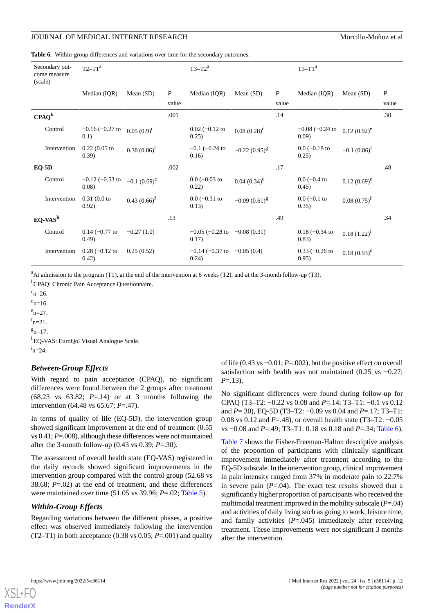<span id="page-11-0"></span>**Table 6.** Within-group differences and variations over time for the secondary outcomes.

| (scale) | Secondary out-<br>come measure | $T2-T1a$                      |                |                  | $T3-T2^a$                                    |                   |                  | $T3-T1a$                     |                  |                  |
|---------|--------------------------------|-------------------------------|----------------|------------------|----------------------------------------------|-------------------|------------------|------------------------------|------------------|------------------|
|         |                                | Median (IQR)                  | Mean $(SD)$    | $\boldsymbol{P}$ | Median (IQR)                                 | Mean $(SD)$       | $\boldsymbol{P}$ | Median (IOR)                 | Mean $(SD)$      | $\boldsymbol{P}$ |
|         |                                |                               |                | value            |                                              |                   | value            |                              |                  | value            |
|         | $CPAQ^b$                       |                               |                | .001             |                                              |                   | .14              |                              |                  | .30              |
|         | Control                        | $-0.16$ ( $-0.27$ to<br>(0.1) | $0.05(0.9)^c$  |                  | $0.02$ (-0.12 to<br>0.25)                    | $0.08(0.28)^d$    |                  | $-0.08$ ( $-0.24$ to<br>0.09 | $0.12(0.92)^e$   |                  |
|         | Intervention                   | $0.22(0.05)$ to<br>(0.39)     | $0.38(0.86)^f$ |                  | $-0.1$ ( $-0.24$ to<br>0.16)                 | $-0.22(0.95)^{g}$ |                  | $0.0$ (-0.18 to<br>0.25)     | $-0.1(0.86)^f$   |                  |
|         | $EO-5D$                        |                               |                | .002             |                                              |                   | .17              |                              |                  | .48              |
|         | Control                        | $-0.12$ ( $-0.53$ to<br>0.08  | $-0.1(0.69)^c$ |                  | $0.0$ ( $-0.03$ to<br>0.22)                  | $0.04(0.34)^d$    |                  | $0.0$ (-0.4 to<br>(0.45)     | $0.12(0.69)^e$   |                  |
|         | Intervention                   | $0.31(0.0)$ to<br>0.92)       | $0.43(0.66)^f$ |                  | $0.0$ (-0.31 to<br>0.13)                     | $-0.09(0.61)^{g}$ |                  | $0.0$ (-0.1 to<br>0.35)      | $0.08(0.75)^f$   |                  |
|         | $EQ-VASh$                      |                               |                | .13              |                                              |                   | .49              |                              |                  | .34              |
|         | Control                        | $0.14 (-0.77)$ to<br>(0.49)   | $-0.27(1.0)$   |                  | $-0.05$ ( $-0.28$ to $-0.08$ (0.31)<br>0.17) |                   |                  | $0.18 (-0.34)$<br>(0.83)     | $0.18(1.22)^{i}$ |                  |
|         | Intervention                   | $0.28 (-0.12)$<br>0.42)       | 0.25(0.52)     |                  | $-0.14$ ( $-0.37$ to $-0.05$ (0.4)<br>0.24)  |                   |                  | $0.33 (-0.26)$<br>0.95)      | $0.18(0.93)^d$   |                  |

 ${}^{a}$ At admission to the program (T1), at the end of the intervention at 6 weeks (T2), and at the 3-month follow-up (T3).

<sup>b</sup>CPAQ: Chronic Pain Acceptance Questionnaire.

 $c_{n=26}$ .

 $d_{n=16}$ .

 $e_{n=27}$ 

 $f_{n=21}$ .

 $g_{n=17}$ .

<sup>h</sup>EQ-VAS: EuroQol Visual Analogue Scale.  $i_{n=24}$ .

### *Between-Group Effects*

With regard to pain acceptance (CPAQ), no significant differences were found between the 2 groups after treatment  $(68.23 \text{ vs } 63.82; P=.14)$  or at 3 months following the intervention (64.48 vs 65.67; *P*=.47).

In terms of quality of life (EQ-5D), the intervention group showed significant improvement at the end of treatment (0.55 vs 0.41; *P*=.008), although these differences were not maintained after the 3-month follow-up (0.43 vs 0.39; *P*=.30).

The assessment of overall health state (EQ-VAS) registered in the daily records showed significant improvements in the intervention group compared with the control group (52.68 vs 38.68; *P*=.02) at the end of treatment, and these differences were maintained over time (51.05 vs 39.96; *P*=.02; [Table 5](#page-10-1)).

# *Within-Group Effects*

Regarding variations between the different phases, a positive effect was observed immediately following the intervention (T2–T1) in both acceptance (0.38 vs 0.05;  $P = .001$ ) and quality

of life (0.43 vs −0.01; *P*=.002), but the positive effect on overall satisfaction with health was not maintained (0.25 vs −0.27; *P*=.13).

No significant differences were found during follow-up for CPAQ (T3–T2: −0.22 vs 0.08 and *P*=.14; T3–T1: −0.1 vs 0.12 and *P*=.30), EQ-5D (T3–T2: −0.09 vs 0.04 and *P*=.17; T3–T1: 0.08 vs 0.12 and *P*=.48), or overall health state (T3–T2: −0.05 vs −0.08 and *P*=.49; T3–T1: 0.18 vs 0.18 and *P*=.34; [Table 6\)](#page-11-0).

[Table 7](#page-12-0) shows the Fisher-Freeman-Halton descriptive analysis of the proportion of participants with clinically significant improvement immediately after treatment according to the EQ-5D subscale. In the intervention group, clinical improvement in pain intensity ranged from 37% in moderate pain to 22.7% in severe pain  $(P=0.04)$ . The exact test results showed that a significantly higher proportion of participants who received the multimodal treatment improved in the mobility subscale (*P*=.04) and activities of daily living such as going to work, leisure time, and family activities  $(P=0.045)$  immediately after receiving treatment. These improvements were not significant 3 months after the intervention.

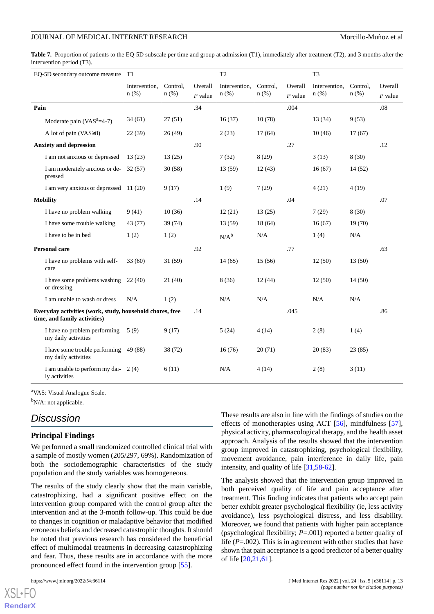<span id="page-12-0"></span>**Table 7.** Proportion of patients to the EQ-5D subscale per time and group at admission (T1), immediately after treatment (T2), and 3 months after the intervention period (T3).

| EQ-5D secondary outcome measure                                                          | T1                       |                     |                      | T <sub>2</sub>           |                     |                      | T <sub>3</sub>        |                  |                      |
|------------------------------------------------------------------------------------------|--------------------------|---------------------|----------------------|--------------------------|---------------------|----------------------|-----------------------|------------------|----------------------|
|                                                                                          | Intervention,<br>$n$ (%) | Control.<br>$n$ (%) | Overall<br>$P$ value | Intervention,<br>$n$ (%) | Control.<br>$n$ (%) | Overall<br>$P$ value | Intervention,<br>n(%) | Control.<br>n(%) | Overall<br>$P$ value |
| Pain                                                                                     |                          |                     | .34                  |                          |                     | .004                 |                       |                  | $.08\,$              |
| Moderate pain $(VASa=4-7)$                                                               | 34(61)                   | 27(51)              |                      | 16(37)                   | 10(78)              |                      | 13(34)                | 9(53)            |                      |
| A lot of pain (VAS≥8)                                                                    | 22 (39)                  | 26(49)              |                      | 2(23)                    | 17(64)              |                      | 10(46)                | 17(67)           |                      |
| <b>Anxiety and depression</b>                                                            |                          |                     | .90                  |                          |                     | .27                  |                       |                  | .12                  |
| I am not anxious or depressed                                                            | 13(23)                   | 13(25)              |                      | 7(32)                    | 8(29)               |                      | 3(13)                 | 8(30)            |                      |
| I am moderately anxious or de-<br>pressed                                                | 32 (57)                  | 30(58)              |                      | 13 (59)                  | 12(43)              |                      | 16(67)                | 14(52)           |                      |
| I am very anxious or depressed 11 (20)                                                   |                          | 9(17)               |                      | 1(9)                     | 7(29)               |                      | 4(21)                 | 4(19)            |                      |
| <b>Mobility</b>                                                                          |                          |                     | .14                  |                          |                     | .04                  |                       |                  | .07                  |
| I have no problem walking                                                                | 9(41)                    | 10(36)              |                      | 12(21)                   | 13(25)              |                      | 7(29)                 | 8(30)            |                      |
| I have some trouble walking                                                              | 43 (77)                  | 39 (74)             |                      | 13(59)                   | 18(64)              |                      | 16(67)                | 19(70)           |                      |
| I have to be in bed                                                                      | 1(2)                     | 1(2)                |                      | $N/A^b$                  | N/A                 |                      | 1(4)                  | N/A              |                      |
| <b>Personal care</b>                                                                     |                          |                     | .92                  |                          |                     | .77                  |                       |                  | .63                  |
| I have no problems with self-<br>care                                                    | 33(60)                   | 31(59)              |                      | 14(65)                   | 15(56)              |                      | 12(50)                | 13(50)           |                      |
| I have some problems washing<br>or dressing                                              | 22(40)                   | 21(40)              |                      | 8(36)                    | 12(44)              |                      | 12(50)                | 14(50)           |                      |
| I am unable to wash or dress                                                             | N/A                      | 1(2)                |                      | N/A                      | N/A                 |                      | N/A                   | N/A              |                      |
| Everyday activities (work, study, household chores, free<br>time, and family activities) |                          |                     | .14                  |                          |                     | .045                 |                       |                  | .86                  |
| I have no problem performing<br>my daily activities                                      | 5(9)                     | 9(17)               |                      | 5(24)                    | 4(14)               |                      | 2(8)                  | 1(4)             |                      |
| I have some trouble performing 49 (88)<br>my daily activities                            |                          | 38 (72)             |                      | 16(76)                   | 20(71)              |                      | 20(83)                | 23(85)           |                      |
| I am unable to perform my dai-<br>ly activities                                          | 2(4)                     | 6(11)               |                      | N/A                      | 4(14)               |                      | 2(8)                  | 3(11)            |                      |

<sup>a</sup>VAS: Visual Analogue Scale.

<sup>b</sup>N/A: not applicable.

# *Discussion*

### **Principal Findings**

We performed a small randomized controlled clinical trial with a sample of mostly women (205/297, 69%). Randomization of both the sociodemographic characteristics of the study population and the study variables was homogeneous.

The results of the study clearly show that the main variable, catastrophizing, had a significant positive effect on the intervention group compared with the control group after the intervention and at the 3-month follow-up. This could be due to changes in cognition or maladaptive behavior that modified erroneous beliefs and decreased catastrophic thoughts. It should be noted that previous research has considered the beneficial effect of multimodal treatments in decreasing catastrophizing and fear. Thus, these results are in accordance with the more pronounced effect found in the intervention group [[55\]](#page-17-18).

[XSL](http://www.w3.org/Style/XSL)•FO **[RenderX](http://www.renderx.com/)**

These results are also in line with the findings of studies on the effects of monotherapies using ACT [\[56](#page-17-19)], mindfulness [[57\]](#page-17-20), physical activity, pharmacological therapy, and the health asset approach. Analysis of the results showed that the intervention group improved in catastrophizing, psychological flexibility, movement avoidance, pain interference in daily life, pain intensity, and quality of life [[31,](#page-16-19)[58](#page-17-21)-[62\]](#page-18-0).

The analysis showed that the intervention group improved in both perceived quality of life and pain acceptance after treatment. This finding indicates that patients who accept pain better exhibit greater psychological flexibility (ie, less activity avoidance), less psychological distress, and less disability. Moreover, we found that patients with higher pain acceptance (psychological flexibility; *P*=.001) reported a better quality of life (*P*=.002). This is in agreement with other studies that have shown that pain acceptance is a good predictor of a better quality of life [[20,](#page-16-6)[21](#page-16-7),[61\]](#page-18-1).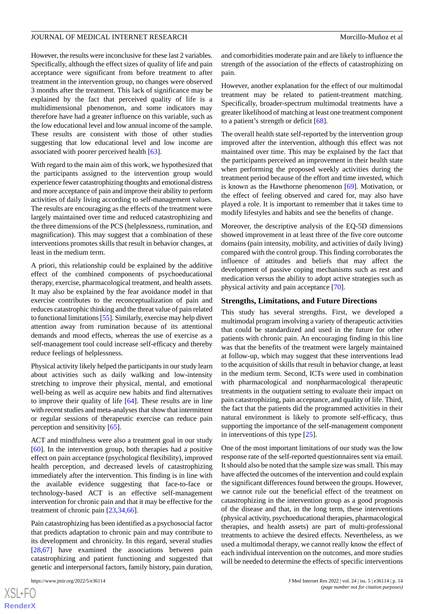However, the results were inconclusive for these last 2 variables. Specifically, although the effect sizes of quality of life and pain acceptance were significant from before treatment to after treatment in the intervention group, no changes were observed 3 months after the treatment. This lack of significance may be explained by the fact that perceived quality of life is a multidimensional phenomenon, and some indicators may therefore have had a greater influence on this variable, such as the low educational level and low annual income of the sample. These results are consistent with those of other studies suggesting that low educational level and low income are associated with poorer perceived health [\[63](#page-18-2)].

With regard to the main aim of this work, we hypothesized that the participants assigned to the intervention group would experience fewer catastrophizing thoughts and emotional distress and more acceptance of pain and improve their ability to perform activities of daily living according to self-management values. The results are encouraging as the effects of the treatment were largely maintained over time and reduced catastrophizing and the three dimensions of the PCS (helplessness, rumination, and magnification). This may suggest that a combination of these interventions promotes skills that result in behavior changes, at least in the medium term.

A priori, this relationship could be explained by the additive effect of the combined components of psychoeducational therapy, exercise, pharmacological treatment, and health assets. It may also be explained by the fear avoidance model in that exercise contributes to the reconceptualization of pain and reduces catastrophic thinking and the threat value of pain related to functional limitations [\[55](#page-17-18)]. Similarly, exercise may help divert attention away from rumination because of its attentional demands and mood effects, whereas the use of exercise as a self-management tool could increase self-efficacy and thereby reduce feelings of helplessness.

Physical activity likely helped the participants in our study learn about activities such as daily walking and low-intensity stretching to improve their physical, mental, and emotional well-being as well as acquire new habits and find alternatives to improve their quality of life [\[64](#page-18-3)]. These results are in line with recent studies and meta-analyses that show that intermittent or regular sessions of therapeutic exercise can reduce pain perception and sensitivity [[65\]](#page-18-4).

ACT and mindfulness were also a treatment goal in our study [[60\]](#page-18-5). In the intervention group, both therapies had a positive effect on pain acceptance (psychological flexibility), improved health perception, and decreased levels of catastrophizing immediately after the intervention. This finding is in line with the available evidence suggesting that face-to-face or technology-based ACT is an effective self-management intervention for chronic pain and that it may be effective for the treatment of chronic pain [\[23](#page-16-9),[34,](#page-16-20)[66](#page-18-6)].

Pain catastrophizing has been identified as a psychosocial factor that predicts adaptation to chronic pain and may contribute to its development and chronicity. In this regard, several studies [[28](#page-16-14)[,67](#page-18-7)] have examined the associations between pain catastrophizing and patient functioning and suggested that genetic and interpersonal factors, family history, pain duration,

and comorbidities moderate pain and are likely to influence the strength of the association of the effects of catastrophizing on pain.

However, another explanation for the effect of our multimodal treatment may be related to patient-treatment matching. Specifically, broader-spectrum multimodal treatments have a greater likelihood of matching at least one treatment component to a patient's strength or deficit [[68\]](#page-18-8).

The overall health state self-reported by the intervention group improved after the intervention, although this effect was not maintained over time. This may be explained by the fact that the participants perceived an improvement in their health state when performing the proposed weekly activities during the treatment period because of the effort and time invested, which is known as the Hawthorne phenomenon [[69\]](#page-18-9). Motivation, or the effect of feeling observed and cared for, may also have played a role. It is important to remember that it takes time to modify lifestyles and habits and see the benefits of change.

Moreover, the descriptive analysis of the EQ-5D dimensions showed improvement in at least three of the five core outcome domains (pain intensity, mobility, and activities of daily living) compared with the control group. This finding corroborates the influence of attitudes and beliefs that may affect the development of passive coping mechanisms such as rest and medication versus the ability to adopt active strategies such as physical activity and pain acceptance [\[70](#page-18-10)].

### **Strengths, Limitations, and Future Directions**

This study has several strengths. First, we developed a multimodal program involving a variety of therapeutic activities that could be standardized and used in the future for other patients with chronic pain. An encouraging finding in this line was that the benefits of the treatment were largely maintained at follow-up, which may suggest that these interventions lead to the acquisition of skills that result in behavior change, at least in the medium term. Second, ICTs were used in combination with pharmacological and nonpharmacological therapeutic treatments in the outpatient setting to evaluate their impact on pain catastrophizing, pain acceptance, and quality of life. Third, the fact that the patients did the programmed activities in their natural environment is likely to promote self-efficacy, thus supporting the importance of the self-management component in interventions of this type [\[25](#page-16-11)].

One of the most important limitations of our study was the low response rate of the self-reported questionnaires sent via email. It should also be noted that the sample size was small. This may have affected the outcomes of the intervention and could explain the significant differences found between the groups. However, we cannot rule out the beneficial effect of the treatment on catastrophizing in the intervention group as a good prognosis of the disease and that, in the long term, these interventions (physical activity, psychoeducational therapies, pharmacological therapies, and health assets) are part of multi-professional treatments to achieve the desired effects. Nevertheless, as we used a multimodal therapy, we cannot really know the effect of each individual intervention on the outcomes, and more studies will be needed to determine the effects of specific interventions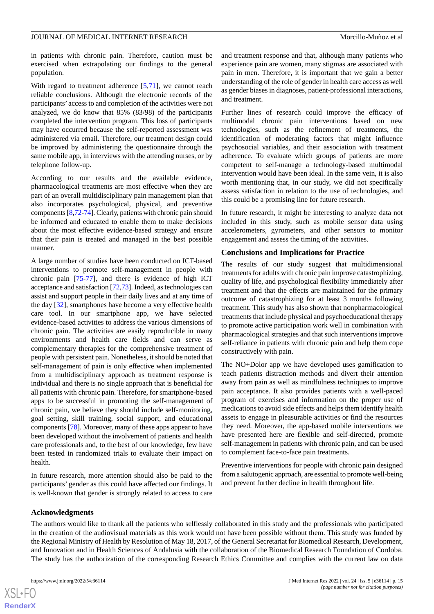in patients with chronic pain. Therefore, caution must be exercised when extrapolating our findings to the general population.

With regard to treatment adherence [\[5,](#page-15-4)[71](#page-18-11)], we cannot reach reliable conclusions. Although the electronic records of the participants' access to and completion of the activities were not analyzed, we do know that 85% (83/98) of the participants completed the intervention program. This loss of participants may have occurred because the self-reported assessment was administered via email. Therefore, our treatment design could be improved by administering the questionnaire through the same mobile app, in interviews with the attending nurses, or by telephone follow-up.

According to our results and the available evidence, pharmacological treatments are most effective when they are part of an overall multidisciplinary pain management plan that also incorporates psychological, physical, and preventive components [[8,](#page-15-7)[72](#page-18-12)[-74\]](#page-18-13). Clearly, patients with chronic pain should be informed and educated to enable them to make decisions about the most effective evidence-based strategy and ensure that their pain is treated and managed in the best possible manner.

A large number of studies have been conducted on ICT-based interventions to promote self-management in people with chronic pain [\[75](#page-18-14)-[77\]](#page-18-15), and there is evidence of high ICT acceptance and satisfaction [\[72](#page-18-12),[73\]](#page-18-16). Indeed, as technologies can assist and support people in their daily lives and at any time of the day [[32\]](#page-16-16), smartphones have become a very effective health care tool. In our smartphone app, we have selected evidence-based activities to address the various dimensions of chronic pain. The activities are easily reproducible in many environments and health care fields and can serve as complementary therapies for the comprehensive treatment of people with persistent pain. Nonetheless, it should be noted that self-management of pain is only effective when implemented from a multidisciplinary approach as treatment response is individual and there is no single approach that is beneficial for all patients with chronic pain. Therefore, for smartphone-based apps to be successful in promoting the self-management of chronic pain, we believe they should include self-monitoring, goal setting, skill training, social support, and educational components [\[78](#page-18-17)]. Moreover, many of these apps appear to have been developed without the involvement of patients and health care professionals and, to the best of our knowledge, few have been tested in randomized trials to evaluate their impact on health.

In future research, more attention should also be paid to the participants' gender as this could have affected our findings. It is well-known that gender is strongly related to access to care and treatment response and that, although many patients who experience pain are women, many stigmas are associated with pain in men. Therefore, it is important that we gain a better understanding of the role of gender in health care access as well as gender biases in diagnoses, patient-professional interactions, and treatment.

Further lines of research could improve the efficacy of multimodal chronic pain interventions based on new technologies, such as the refinement of treatments, the identification of moderating factors that might influence psychosocial variables, and their association with treatment adherence. To evaluate which groups of patients are more competent to self-manage a technology-based multimodal intervention would have been ideal. In the same vein, it is also worth mentioning that, in our study, we did not specifically assess satisfaction in relation to the use of technologies, and this could be a promising line for future research.

In future research, it might be interesting to analyze data not included in this study, such as mobile sensor data using accelerometers, gyrometers, and other sensors to monitor engagement and assess the timing of the activities.

# **Conclusions and Implications for Practice**

The results of our study suggest that multidimensional treatments for adults with chronic pain improve catastrophizing, quality of life, and psychological flexibility immediately after treatment and that the effects are maintained for the primary outcome of catastrophizing for at least 3 months following treatment. This study has also shown that nonpharmacological treatments that include physical and psychoeducational therapy to promote active participation work well in combination with pharmacological strategies and that such interventions improve self-reliance in patients with chronic pain and help them cope constructively with pain.

The NO+Dolor app we have developed uses gamification to teach patients distraction methods and divert their attention away from pain as well as mindfulness techniques to improve pain acceptance. It also provides patients with a well-paced program of exercises and information on the proper use of medications to avoid side effects and helps them identify health assets to engage in pleasurable activities or find the resources they need. Moreover, the app-based mobile interventions we have presented here are flexible and self-directed, promote self-management in patients with chronic pain, and can be used to complement face-to-face pain treatments.

Preventive interventions for people with chronic pain designed from a salutogenic approach, are essential to promote well-being and prevent further decline in health throughout life.

# **Acknowledgments**

The authors would like to thank all the patients who selflessly collaborated in this study and the professionals who participated in the creation of the audiovisual materials as this work would not have been possible without them. This study was funded by the Regional Ministry of Health by Resolution of May 18, 2017, of the General Secretariat for Biomedical Research, Development, and Innovation and in Health Sciences of Andalusia with the collaboration of the Biomedical Research Foundation of Cordoba. The study has the authorization of the corresponding Research Ethics Committee and complies with the current law on data

 $XS$  $\cdot$ FC **[RenderX](http://www.renderx.com/)**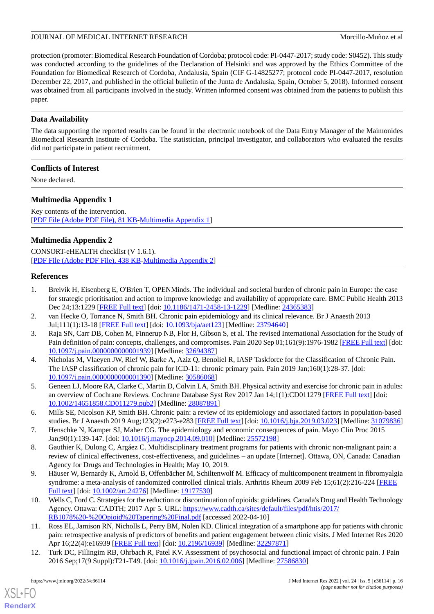protection (promoter: Biomedical Research Foundation of Cordoba; protocol code: PI-0447-2017; study code: S0452). This study was conducted according to the guidelines of the Declaration of Helsinki and was approved by the Ethics Committee of the Foundation for Biomedical Research of Cordoba, Andalusia, Spain (CIF G-14825277; protocol code PI-0447-2017, resolution December 22, 2017, and published in the official bulletin of the Junta de Andalusia, Spain, October 5, 2018). Informed consent was obtained from all participants involved in the study. Written informed consent was obtained from the patients to publish this paper.

# **Data Availability**

The data supporting the reported results can be found in the electronic notebook of the Data Entry Manager of the Maimonides Biomedical Research Institute of Cordoba. The statistician, principal investigator, and collaborators who evaluated the results did not participate in patient recruitment.

# **Conflicts of Interest**

<span id="page-15-12"></span>None declared.

# **Multimedia Appendix 1**

Key contents of the intervention. [[PDF File \(Adobe PDF File\), 81 KB](https://jmir.org/api/download?alt_name=jmir_v24i5e36114_app1.pdf&filename=77c5e4276dc6c706cf5f6939aca53ba9.pdf)-[Multimedia Appendix 1\]](https://jmir.org/api/download?alt_name=jmir_v24i5e36114_app1.pdf&filename=77c5e4276dc6c706cf5f6939aca53ba9.pdf)

# **Multimedia Appendix 2**

<span id="page-15-0"></span>CONSORT-eHEALTH checklist (V 1.6.1). [[PDF File \(Adobe PDF File\), 438 KB](https://jmir.org/api/download?alt_name=jmir_v24i5e36114_app2.pdf&filename=aa39945aaf22fbaea66f785b9c57455e.pdf)-[Multimedia Appendix 2\]](https://jmir.org/api/download?alt_name=jmir_v24i5e36114_app2.pdf&filename=aa39945aaf22fbaea66f785b9c57455e.pdf)

# **References**

- <span id="page-15-2"></span><span id="page-15-1"></span>1. Breivik H, Eisenberg E, O'Brien T, OPENMinds. The individual and societal burden of chronic pain in Europe: the case for strategic prioritisation and action to improve knowledge and availability of appropriate care. BMC Public Health 2013 Dec 24;13:1229 [\[FREE Full text\]](https://bmcpublichealth.biomedcentral.com/articles/10.1186/1471-2458-13-1229) [doi: [10.1186/1471-2458-13-1229](http://dx.doi.org/10.1186/1471-2458-13-1229)] [Medline: [24365383](http://www.ncbi.nlm.nih.gov/entrez/query.fcgi?cmd=Retrieve&db=PubMed&list_uids=24365383&dopt=Abstract)]
- <span id="page-15-3"></span>2. van Hecke O, Torrance N, Smith BH. Chronic pain epidemiology and its clinical relevance. Br J Anaesth 2013 Jul;111(1):13-18 [[FREE Full text\]](https://linkinghub.elsevier.com/retrieve/pii/S0007-0912(17)32961-6) [doi: [10.1093/bja/aet123](http://dx.doi.org/10.1093/bja/aet123)] [Medline: [23794640\]](http://www.ncbi.nlm.nih.gov/entrez/query.fcgi?cmd=Retrieve&db=PubMed&list_uids=23794640&dopt=Abstract)
- 3. Raja SN, Carr DB, Cohen M, Finnerup NB, Flor H, Gibson S, et al. The revised International Association for the Study of Pain definition of pain: concepts, challenges, and compromises. Pain 2020 Sep 01;161(9):1976-1982 [\[FREE Full text](http://europepmc.org/abstract/MED/32694387)] [doi: [10.1097/j.pain.0000000000001939\]](http://dx.doi.org/10.1097/j.pain.0000000000001939) [Medline: [32694387\]](http://www.ncbi.nlm.nih.gov/entrez/query.fcgi?cmd=Retrieve&db=PubMed&list_uids=32694387&dopt=Abstract)
- <span id="page-15-5"></span><span id="page-15-4"></span>4. Nicholas M, Vlaeyen JW, Rief W, Barke A, Aziz Q, Benoliel R, IASP Taskforce for the Classification of Chronic Pain. The IASP classification of chronic pain for ICD-11: chronic primary pain. Pain 2019 Jan;160(1):28-37. [doi: [10.1097/j.pain.0000000000001390\]](http://dx.doi.org/10.1097/j.pain.0000000000001390) [Medline: [30586068\]](http://www.ncbi.nlm.nih.gov/entrez/query.fcgi?cmd=Retrieve&db=PubMed&list_uids=30586068&dopt=Abstract)
- <span id="page-15-6"></span>5. Geneen LJ, Moore RA, Clarke C, Martin D, Colvin LA, Smith BH. Physical activity and exercise for chronic pain in adults: an overview of Cochrane Reviews. Cochrane Database Syst Rev 2017 Jan 14;1(1):CD011279 [\[FREE Full text\]](http://europepmc.org/abstract/MED/28087891) [doi: [10.1002/14651858.CD011279.pub2\]](http://dx.doi.org/10.1002/14651858.CD011279.pub2) [Medline: [28087891](http://www.ncbi.nlm.nih.gov/entrez/query.fcgi?cmd=Retrieve&db=PubMed&list_uids=28087891&dopt=Abstract)]
- <span id="page-15-7"></span>6. Mills SE, Nicolson KP, Smith BH. Chronic pain: a review of its epidemiology and associated factors in population-based studies. Br J Anaesth 2019 Aug;123(2):e273-e283 [\[FREE Full text\]](https://linkinghub.elsevier.com/retrieve/pii/S0007-0912(19)30227-2) [doi: [10.1016/j.bja.2019.03.023](http://dx.doi.org/10.1016/j.bja.2019.03.023)] [Medline: [31079836](http://www.ncbi.nlm.nih.gov/entrez/query.fcgi?cmd=Retrieve&db=PubMed&list_uids=31079836&dopt=Abstract)]
- <span id="page-15-8"></span>7. Henschke N, Kamper SJ, Maher CG. The epidemiology and economic consequences of pain. Mayo Clin Proc 2015 Jan;90(1):139-147. [doi: [10.1016/j.mayocp.2014.09.010\]](http://dx.doi.org/10.1016/j.mayocp.2014.09.010) [Medline: [25572198](http://www.ncbi.nlm.nih.gov/entrez/query.fcgi?cmd=Retrieve&db=PubMed&list_uids=25572198&dopt=Abstract)]
- <span id="page-15-9"></span>8. Gauthier K, Dulong C, Argáez C. Multidisciplinary treatment programs for patients with chronic non-malignant pain: a review of clinical effectiveness, cost-effectiveness, and guidelines – an update [Internet]. Ottawa, ON, Canada: Canadian Agency for Drugs and Technologies in Health; May 10, 2019.
- <span id="page-15-10"></span>9. Häuser W, Bernardy K, Arnold B, Offenbächer M, Schiltenwolf M. Efficacy of multicomponent treatment in fibromyalgia syndrome: a meta-analysis of randomized controlled clinical trials. Arthritis Rheum 2009 Feb 15;61(2):216-224 [\[FREE](https://doi.org/10.1002/art.24276) [Full text\]](https://doi.org/10.1002/art.24276) [doi: [10.1002/art.24276](http://dx.doi.org/10.1002/art.24276)] [Medline: [19177530](http://www.ncbi.nlm.nih.gov/entrez/query.fcgi?cmd=Retrieve&db=PubMed&list_uids=19177530&dopt=Abstract)]
- <span id="page-15-11"></span>10. Wells C, Ford C. Strategies for the reduction or discontinuation of opioids: guidelines. Canada's Drug and Health Technology Agency. Ottawa: CADTH; 2017 Apr 5. URL: [https://www.cadth.ca/sites/default/files/pdf/htis/2017/](https://www.cadth.ca/sites/default/files/pdf/htis/2017/RB1078%20-%20Opioid%20Tapering%20Final.pdf) [RB1078%20-%20Opioid%20Tapering%20Final.pdf](https://www.cadth.ca/sites/default/files/pdf/htis/2017/RB1078%20-%20Opioid%20Tapering%20Final.pdf) [accessed 2022-04-10]
- 11. Ross EL, Jamison RN, Nicholls L, Perry BM, Nolen KD. Clinical integration of a smartphone app for patients with chronic pain: retrospective analysis of predictors of benefits and patient engagement between clinic visits. J Med Internet Res 2020 Apr 16;22(4):e16939 [\[FREE Full text\]](https://www.jmir.org/2020/4/e16939/) [doi: [10.2196/16939\]](http://dx.doi.org/10.2196/16939) [Medline: [32297871\]](http://www.ncbi.nlm.nih.gov/entrez/query.fcgi?cmd=Retrieve&db=PubMed&list_uids=32297871&dopt=Abstract)
- 12. Turk DC, Fillingim RB, Ohrbach R, Patel KV. Assessment of psychosocial and functional impact of chronic pain. J Pain 2016 Sep;17(9 Suppl):T21-T49. [doi: [10.1016/j.jpain.2016.02.006](http://dx.doi.org/10.1016/j.jpain.2016.02.006)] [Medline: [27586830\]](http://www.ncbi.nlm.nih.gov/entrez/query.fcgi?cmd=Retrieve&db=PubMed&list_uids=27586830&dopt=Abstract)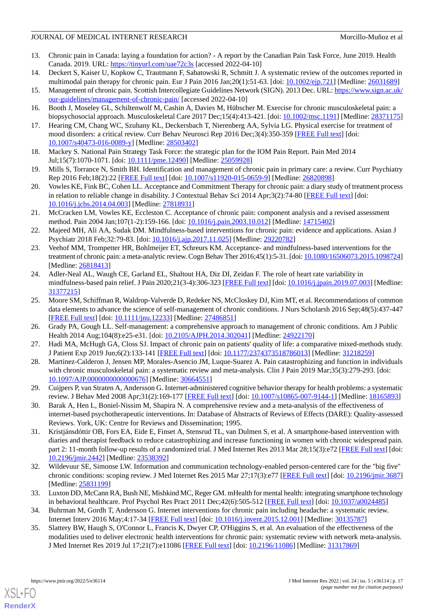# JOURNAL OF MEDICAL INTERNET RESEARCH MORE SERVICES AND MORE MORE AND MORE AND MORE AND MORE AND MORE AND MORE AND MORE AND MORE AND MORE AND MORE AND MORE AND MORE AND MORE AND MORE AND MORE AND MORE AND MORE AND MORE AND

- 13. Chronic pain in Canada: laying a foundation for action? A report by the Canadian Pain Task Force, June 2019. Health Canada. 2019. URL: [https://tinyurl.com/uae72c3s](http://epe.lac-bac.gc.ca/100/201/301/weekly_acquisitions_list-ef/2019/19-35/publications.gc.ca/collections/collection_2019/sc-hc/H134-5-2019-eng.pdf%0Ahttps://www.canada.ca/content/dam/hc-sc/documents/corporate/about-health-canada/public-engagement/extern) [accessed 2022-04-10]
- <span id="page-16-1"></span><span id="page-16-0"></span>14. Deckert S, Kaiser U, Kopkow C, Trautmann F, Sabatowski R, Schmitt J. A systematic review of the outcomes reported in multimodal pain therapy for chronic pain. Eur J Pain 2016 Jan; 20(1): 51-63. [doi: [10.1002/ejp.721](http://dx.doi.org/10.1002/ejp.721)] [Medline: [26031689](http://www.ncbi.nlm.nih.gov/entrez/query.fcgi?cmd=Retrieve&db=PubMed&list_uids=26031689&dopt=Abstract)]
- <span id="page-16-2"></span>15. Management of chronic pain. Scottish Intercollegiate Guidelines Network (SIGN). 2013 Dec. URL: [https://www.sign.ac.uk/](https://www.sign.ac.uk/our-guidelines/management-of-chronic-pain/) [our-guidelines/management-of-chronic-pain/](https://www.sign.ac.uk/our-guidelines/management-of-chronic-pain/) [accessed 2022-04-10]
- <span id="page-16-3"></span>16. Booth J, Moseley GL, Schiltenwolf M, Cashin A, Davies M, Hübscher M. Exercise for chronic musculoskeletal pain: a biopsychosocial approach. Musculoskeletal Care 2017 Dec;15(4):413-421. [doi: [10.1002/msc.1191](http://dx.doi.org/10.1002/msc.1191)] [Medline: [28371175](http://www.ncbi.nlm.nih.gov/entrez/query.fcgi?cmd=Retrieve&db=PubMed&list_uids=28371175&dopt=Abstract)]
- <span id="page-16-4"></span>17. Hearing CM, Chang WC, Szuhany KL, Deckersbach T, Nierenberg AA, Sylvia LG. Physical exercise for treatment of mood disorders: a critical review. Curr Behav Neurosci Rep 2016 Dec;3(4):350-359 [[FREE Full text](http://europepmc.org/abstract/MED/28503402)] [doi: [10.1007/s40473-016-0089-y\]](http://dx.doi.org/10.1007/s40473-016-0089-y) [Medline: [28503402](http://www.ncbi.nlm.nih.gov/entrez/query.fcgi?cmd=Retrieve&db=PubMed&list_uids=28503402&dopt=Abstract)]
- <span id="page-16-5"></span>18. Mackey S. National Pain Strategy Task Force: the strategic plan for the IOM Pain Report. Pain Med 2014 Jul;15(7):1070-1071. [doi: [10.1111/pme.12490](http://dx.doi.org/10.1111/pme.12490)] [Medline: [25059928\]](http://www.ncbi.nlm.nih.gov/entrez/query.fcgi?cmd=Retrieve&db=PubMed&list_uids=25059928&dopt=Abstract)
- <span id="page-16-6"></span>19. Mills S, Torrance N, Smith BH. Identification and management of chronic pain in primary care: a review. Curr Psychiatry Rep 2016 Feb;18(2):22 [[FREE Full text](http://europepmc.org/abstract/MED/26820898)] [doi: [10.1007/s11920-015-0659-9\]](http://dx.doi.org/10.1007/s11920-015-0659-9) [Medline: [26820898](http://www.ncbi.nlm.nih.gov/entrez/query.fcgi?cmd=Retrieve&db=PubMed&list_uids=26820898&dopt=Abstract)]
- <span id="page-16-7"></span>20. Vowles KE, Fink BC, Cohen LL. Acceptance and Commitment Therapy for chronic pain: a diary study of treatment process in relation to reliable change in disability. J Contextual Behav Sci 2014 Apr;3(2):74-80 [\[FREE Full text\]](http://europepmc.org/abstract/MED/27818931) [doi: [10.1016/j.jcbs.2014.04.003\]](http://dx.doi.org/10.1016/j.jcbs.2014.04.003) [Medline: [27818931\]](http://www.ncbi.nlm.nih.gov/entrez/query.fcgi?cmd=Retrieve&db=PubMed&list_uids=27818931&dopt=Abstract)
- <span id="page-16-8"></span>21. McCracken LM, Vowles KE, Eccleston C. Acceptance of chronic pain: component analysis and a revised assessment method. Pain 2004 Jan;107(1-2):159-166. [doi: [10.1016/j.pain.2003.10.012](http://dx.doi.org/10.1016/j.pain.2003.10.012)] [Medline: [14715402\]](http://www.ncbi.nlm.nih.gov/entrez/query.fcgi?cmd=Retrieve&db=PubMed&list_uids=14715402&dopt=Abstract)
- <span id="page-16-9"></span>22. Majeed MH, Ali AA, Sudak DM. Mindfulness-based interventions for chronic pain: evidence and applications. Asian J Psychiatr 2018 Feb;32:79-83. [doi: [10.1016/j.ajp.2017.11.025](http://dx.doi.org/10.1016/j.ajp.2017.11.025)] [Medline: [29220782](http://www.ncbi.nlm.nih.gov/entrez/query.fcgi?cmd=Retrieve&db=PubMed&list_uids=29220782&dopt=Abstract)]
- <span id="page-16-10"></span>23. Veehof MM, Trompetter HR, Bohlmeijer ET, Schreurs KM. Acceptance- and mindfulness-based interventions for the treatment of chronic pain: a meta-analytic review. Cogn Behav Ther 2016;45(1):5-31. [doi: [10.1080/16506073.2015.1098724](http://dx.doi.org/10.1080/16506073.2015.1098724)] [Medline: [26818413](http://www.ncbi.nlm.nih.gov/entrez/query.fcgi?cmd=Retrieve&db=PubMed&list_uids=26818413&dopt=Abstract)]
- <span id="page-16-11"></span>24. Adler-Neal AL, Waugh CE, Garland EL, Shaltout HA, Diz DI, Zeidan F. The role of heart rate variability in mindfulness-based pain relief. J Pain 2020;21(3-4):306-323 [[FREE Full text](http://europepmc.org/abstract/MED/31377215)] [doi: [10.1016/j.jpain.2019.07.003\]](http://dx.doi.org/10.1016/j.jpain.2019.07.003) [Medline: [31377215](http://www.ncbi.nlm.nih.gov/entrez/query.fcgi?cmd=Retrieve&db=PubMed&list_uids=31377215&dopt=Abstract)]
- <span id="page-16-13"></span><span id="page-16-12"></span>25. Moore SM, Schiffman R, Waldrop-Valverde D, Redeker NS, McCloskey DJ, Kim MT, et al. Recommendations of common data elements to advance the science of self-management of chronic conditions. J Nurs Scholarsh 2016 Sep;48(5):437-447 [[FREE Full text](http://europepmc.org/abstract/MED/27486851)] [doi: [10.1111/jnu.12233](http://dx.doi.org/10.1111/jnu.12233)] [Medline: [27486851\]](http://www.ncbi.nlm.nih.gov/entrez/query.fcgi?cmd=Retrieve&db=PubMed&list_uids=27486851&dopt=Abstract)
- <span id="page-16-14"></span>26. Grady PA, Gough LL. Self-management: a comprehensive approach to management of chronic conditions. Am J Public Health 2014 Aug;104(8):e25-e31. [doi: [10.2105/AJPH.2014.302041](http://dx.doi.org/10.2105/AJPH.2014.302041)] [Medline: [24922170](http://www.ncbi.nlm.nih.gov/entrez/query.fcgi?cmd=Retrieve&db=PubMed&list_uids=24922170&dopt=Abstract)]
- <span id="page-16-15"></span>27. Hadi MA, McHugh GA, Closs SJ. Impact of chronic pain on patients' quality of life: a comparative mixed-methods study. J Patient Exp 2019 Jun;6(2):133-141 [\[FREE Full text\]](https://journals.sagepub.com/doi/10.1177/2374373518786013?url_ver=Z39.88-2003&rfr_id=ori:rid:crossref.org&rfr_dat=cr_pub%3dpubmed) [doi: [10.1177/2374373518786013](http://dx.doi.org/10.1177/2374373518786013)] [Medline: [31218259](http://www.ncbi.nlm.nih.gov/entrez/query.fcgi?cmd=Retrieve&db=PubMed&list_uids=31218259&dopt=Abstract)]
- 28. Martinez-Calderon J, Jensen MP, Morales-Asencio JM, Luque-Suarez A. Pain catastrophizing and function in individuals with chronic musculoskeletal pain: a systematic review and meta-analysis. Clin J Pain 2019 Mar;35(3):279-293. [doi: [10.1097/AJP.0000000000000676\]](http://dx.doi.org/10.1097/AJP.0000000000000676) [Medline: [30664551\]](http://www.ncbi.nlm.nih.gov/entrez/query.fcgi?cmd=Retrieve&db=PubMed&list_uids=30664551&dopt=Abstract)
- <span id="page-16-19"></span>29. Cuijpers P, van Straten A, Andersson G. Internet-administered cognitive behavior therapy for health problems: a systematic review. J Behav Med 2008 Apr;31(2):169-177 [\[FREE Full text\]](http://europepmc.org/abstract/MED/18165893) [doi: [10.1007/s10865-007-9144-1\]](http://dx.doi.org/10.1007/s10865-007-9144-1) [Medline: [18165893\]](http://www.ncbi.nlm.nih.gov/entrez/query.fcgi?cmd=Retrieve&db=PubMed&list_uids=18165893&dopt=Abstract)
- 30. Barak A, Hen L, Boniel-Nissim M, Shapira N. A comprehensive review and a meta-analysis of the effectiveness of internet-based psychotherapeutic interventions. In: Database of Abstracts of Reviews of Effects (DARE): Quality-assessed Reviews. York, UK: Centre for Reviews and Dissemination; 1995.
- <span id="page-16-17"></span><span id="page-16-16"></span>31. Kristjánsdóttir OB, Fors EA, Eide E, Finset A, Stensrud TL, van Dulmen S, et al. A smartphone-based intervention with diaries and therapist feedback to reduce catastrophizing and increase functioning in women with chronic widespread pain. part 2: 11-month follow-up results of a randomized trial. J Med Internet Res 2013 Mar 28;15(3):e72 [\[FREE Full text](https://www.jmir.org/2013/3/e72/)] [doi: [10.2196/jmir.2442](http://dx.doi.org/10.2196/jmir.2442)] [Medline: [23538392](http://www.ncbi.nlm.nih.gov/entrez/query.fcgi?cmd=Retrieve&db=PubMed&list_uids=23538392&dopt=Abstract)]
- <span id="page-16-20"></span><span id="page-16-18"></span>32. Wildevuur SE, Simonse LW. Information and communication technology-enabled person-centered care for the "big five" chronic conditions: scoping review. J Med Internet Res 2015 Mar 27;17(3):e77 [[FREE Full text](https://www.jmir.org/2015/3/e77/)] [doi: [10.2196/jmir.3687](http://dx.doi.org/10.2196/jmir.3687)] [Medline: [25831199](http://www.ncbi.nlm.nih.gov/entrez/query.fcgi?cmd=Retrieve&db=PubMed&list_uids=25831199&dopt=Abstract)]
- 33. Luxton DD, McCann RA, Bush NE, Mishkind MC, Reger GM. mHealth for mental health: integrating smartphone technology in behavioral healthcare. Prof Psychol Res Pract 2011 Dec;42(6):505-512 [[FREE Full text](https://doi.org/10.1037/a0024485)] [doi: [10.1037/a0024485](http://dx.doi.org/10.1037/a0024485)]
- 34. Buhrman M, Gordh T, Andersson G. Internet interventions for chronic pain including headache: a systematic review. Internet Interv 2016 May;4:17-34 [\[FREE Full text\]](https://linkinghub.elsevier.com/retrieve/pii/S2214-7829(15)00042-1) [doi: [10.1016/j.invent.2015.12.001](http://dx.doi.org/10.1016/j.invent.2015.12.001)] [Medline: [30135787\]](http://www.ncbi.nlm.nih.gov/entrez/query.fcgi?cmd=Retrieve&db=PubMed&list_uids=30135787&dopt=Abstract)
- 35. Slattery BW, Haugh S, O'Connor L, Francis K, Dwyer CP, O'Higgins S, et al. An evaluation of the effectiveness of the modalities used to deliver electronic health interventions for chronic pain: systematic review with network meta-analysis. J Med Internet Res 2019 Jul 17;21(7):e11086 [\[FREE Full text](https://www.jmir.org/2019/7/e11086/)] [doi: [10.2196/11086\]](http://dx.doi.org/10.2196/11086) [Medline: [31317869\]](http://www.ncbi.nlm.nih.gov/entrez/query.fcgi?cmd=Retrieve&db=PubMed&list_uids=31317869&dopt=Abstract)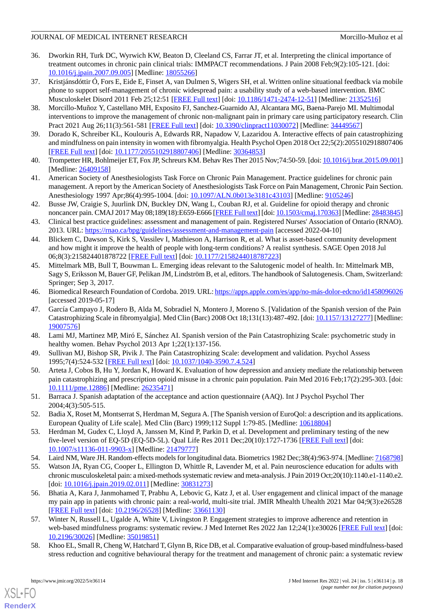# JOURNAL OF MEDICAL INTERNET RESEARCH MORE SERVICES AND MORE MORE AND MORE AND MORE AND MORE AND MORE AND MORE AND MORE AND MORE AND MORE AND MORE AND MORE AND MORE AND MORE AND MORE AND MORE AND MORE AND MORE AND MORE AND

- <span id="page-17-0"></span>36. Dworkin RH, Turk DC, Wyrwich KW, Beaton D, Cleeland CS, Farrar JT, et al. Interpreting the clinical importance of treatment outcomes in chronic pain clinical trials: IMMPACT recommendations. J Pain 2008 Feb;9(2):105-121. [doi: [10.1016/j.jpain.2007.09.005\]](http://dx.doi.org/10.1016/j.jpain.2007.09.005) [Medline: [18055266](http://www.ncbi.nlm.nih.gov/entrez/query.fcgi?cmd=Retrieve&db=PubMed&list_uids=18055266&dopt=Abstract)]
- <span id="page-17-1"></span>37. Kristjánsdóttir Ó, Fors E, Eide E, Finset A, van Dulmen S, Wigers SH, et al. Written online situational feedback via mobile phone to support self-management of chronic widespread pain: a usability study of a web-based intervention. BMC Musculoskelet Disord 2011 Feb 25;12:51 [\[FREE Full text\]](https://bmcmusculoskeletdisord.biomedcentral.com/articles/10.1186/1471-2474-12-51) [doi: [10.1186/1471-2474-12-51](http://dx.doi.org/10.1186/1471-2474-12-51)] [Medline: [21352516](http://www.ncbi.nlm.nih.gov/entrez/query.fcgi?cmd=Retrieve&db=PubMed&list_uids=21352516&dopt=Abstract)]
- <span id="page-17-2"></span>38. Morcillo-Muñoz Y, Castellano MH, Exposito FJ, Sanchez-Guarnido AJ, Alcantara MG, Baena-Parejo MI. Multimodal interventions to improve the management of chronic non-malignant pain in primary care using participatory research. Clin Pract 2021 Aug 26;11(3):561-581 [\[FREE Full text\]](https://www.mdpi.com/resolver?pii=clinpract11030072) [doi: [10.3390/clinpract11030072](http://dx.doi.org/10.3390/clinpract11030072)] [Medline: [34449567\]](http://www.ncbi.nlm.nih.gov/entrez/query.fcgi?cmd=Retrieve&db=PubMed&list_uids=34449567&dopt=Abstract)
- <span id="page-17-4"></span><span id="page-17-3"></span>39. Dorado K, Schreiber KL, Koulouris A, Edwards RR, Napadow V, Lazaridou A. Interactive effects of pain catastrophizing and mindfulness on pain intensity in women with fibromyalgia. Health Psychol Open 2018 Oct 22;5(2):2055102918807406 [[FREE Full text](https://journals.sagepub.com/doi/10.1177/2055102918807406?url_ver=Z39.88-2003&rfr_id=ori:rid:crossref.org&rfr_dat=cr_pub%3dpubmed)] [doi: [10.1177/2055102918807406\]](http://dx.doi.org/10.1177/2055102918807406) [Medline: [30364853](http://www.ncbi.nlm.nih.gov/entrez/query.fcgi?cmd=Retrieve&db=PubMed&list_uids=30364853&dopt=Abstract)]
- <span id="page-17-5"></span>40. Trompetter HR, Bohlmeijer ET, Fox JP, Schreurs KM. Behav Res Ther 2015 Nov;74:50-59. [doi: [10.1016/j.brat.2015.09.001\]](http://dx.doi.org/10.1016/j.brat.2015.09.001) [Medline: [26409158](http://www.ncbi.nlm.nih.gov/entrez/query.fcgi?cmd=Retrieve&db=PubMed&list_uids=26409158&dopt=Abstract)]
- 41. American Society of Anesthesiologists Task Force on Chronic Pain Management. Practice guidelines for chronic pain management. A report by the American Society of Anesthesiologists Task Force on Pain Management, Chronic Pain Section. Anesthesiology 1997 Apr;86(4):995-1004. [doi: [10.1097/ALN.0b013e3181c43103](http://dx.doi.org/10.1097/ALN.0b013e3181c43103)] [Medline: [9105246](http://www.ncbi.nlm.nih.gov/entrez/query.fcgi?cmd=Retrieve&db=PubMed&list_uids=9105246&dopt=Abstract)]
- <span id="page-17-6"></span>42. Busse JW, Craigie S, Juurlink DN, Buckley DN, Wang L, Couban RJ, et al. Guideline for opioid therapy and chronic noncancer pain. CMAJ 2017 May 08;189(18):E659-E666 [[FREE Full text\]](http://www.cmaj.ca/cgi/pmidlookup?view=long&pmid=28483845) [doi: [10.1503/cmaj.170363](http://dx.doi.org/10.1503/cmaj.170363)] [Medline: [28483845](http://www.ncbi.nlm.nih.gov/entrez/query.fcgi?cmd=Retrieve&db=PubMed&list_uids=28483845&dopt=Abstract)]
- <span id="page-17-7"></span>43. Clinical best practice guidelines: assessment and management of pain. Registered Nurses' Association of Ontario (RNAO). 2013. URL: <https://rnao.ca/bpg/guidelines/assessment-and-management-pain> [accessed 2022-04-10]
- <span id="page-17-8"></span>44. Blickem C, Dawson S, Kirk S, Vassilev I, Mathieson A, Harrison R, et al. What is asset-based community development and how might it improve the health of people with long-term conditions? A realist synthesis. SAGE Open 2018 Jul 06;8(3):215824401878722 [[FREE Full text\]](https://doi.org/10.1177/2158244018787223) [doi: [10.1177/2158244018787223](http://dx.doi.org/10.1177/2158244018787223)]
- <span id="page-17-9"></span>45. Mittelmark MB, Bull T, Bouwman L. Emerging ideas relevant to the Salutogenic model of health. In: Mittelmark MB, Sagy S, Eriksson M, Bauer GF, Pelikan JM, Lindström B, et al, editors. The handbook of Salutogenesis. Cham, Switzerland: Springer; Sep 3, 2017.
- <span id="page-17-10"></span>46. Biomedical Research Foundation of Cordoba. 2019. URL: [https://apps.apple.com/es/app/no-más-dolor-edcno/id1458096026](https://apps.apple.com/es/app/no-m�s-dolor-edcno/id1458096026) [accessed 2019-05-17]
- <span id="page-17-12"></span><span id="page-17-11"></span>47. García Campayo J, Rodero B, Alda M, Sobradiel N, Montero J, Moreno S. [Validation of the Spanish version of the Pain Catastrophizing Scale in fibromyalgia]. Med Clin (Barc) 2008 Oct 18;131(13):487-492. [doi: [10.1157/13127277](http://dx.doi.org/10.1157/13127277)] [Medline: [19007576](http://www.ncbi.nlm.nih.gov/entrez/query.fcgi?cmd=Retrieve&db=PubMed&list_uids=19007576&dopt=Abstract)]
- <span id="page-17-13"></span>48. Lami MJ, Martinez MP, Miró E, Sánchez AI. Spanish version of the Pain Catastrophizing Scale: psychometric study in healthy women. Behav Psychol 2013 Apr 1;22(1):137-156.
- <span id="page-17-14"></span>49. Sullivan MJ, Bishop SR, Pivik J. The Pain Catastrophizing Scale: development and validation. Psychol Assess 1995;7(4):524-532 [[FREE Full text](https://doi.org/10.1037/1040-3590.7.4.524)] [doi: [10.1037/1040-3590.7.4.524\]](http://dx.doi.org/10.1037/1040-3590.7.4.524)
- <span id="page-17-15"></span>50. Arteta J, Cobos B, Hu Y, Jordan K, Howard K. Evaluation of how depression and anxiety mediate the relationship between pain catastrophizing and prescription opioid misuse in a chronic pain population. Pain Med 2016 Feb;17(2):295-303. [doi: [10.1111/pme.12886](http://dx.doi.org/10.1111/pme.12886)] [Medline: [26235471](http://www.ncbi.nlm.nih.gov/entrez/query.fcgi?cmd=Retrieve&db=PubMed&list_uids=26235471&dopt=Abstract)]
- <span id="page-17-16"></span>51. Barraca J. Spanish adaptation of the acceptance and action questionnaire (AAQ). Int J Psychol Psychol Ther 2004;4(3):505-515.
- <span id="page-17-18"></span><span id="page-17-17"></span>52. Badia X, Roset M, Montserrat S, Herdman M, Segura A. [The Spanish version of EuroQol: a description and its applications. European Quality of Life scale]. Med Clin (Barc) 1999;112 Suppl 1:79-85. [Medline: [10618804\]](http://www.ncbi.nlm.nih.gov/entrez/query.fcgi?cmd=Retrieve&db=PubMed&list_uids=10618804&dopt=Abstract)
- <span id="page-17-19"></span>53. Herdman M, Gudex C, Lloyd A, Janssen M, Kind P, Parkin D, et al. Development and preliminary testing of the new five-level version of EQ-5D (EQ-5D-5L). Qual Life Res 2011 Dec;20(10):1727-1736 [[FREE Full text](http://europepmc.org/abstract/MED/21479777)] [doi: [10.1007/s11136-011-9903-x\]](http://dx.doi.org/10.1007/s11136-011-9903-x) [Medline: [21479777](http://www.ncbi.nlm.nih.gov/entrez/query.fcgi?cmd=Retrieve&db=PubMed&list_uids=21479777&dopt=Abstract)]
- 54. Laird NM, Ware JH. Random-effects models for longitudinal data. Biometrics 1982 Dec;38(4):963-974. [Medline: [7168798\]](http://www.ncbi.nlm.nih.gov/entrez/query.fcgi?cmd=Retrieve&db=PubMed&list_uids=7168798&dopt=Abstract)
- <span id="page-17-20"></span>55. Watson JA, Ryan CG, Cooper L, Ellington D, Whittle R, Lavender M, et al. Pain neuroscience education for adults with chronic musculoskeletal pain: a mixed-methods systematic review and meta-analysis. J Pain 2019 Oct;20(10):1140.e1-1140.e2. [doi: [10.1016/j.jpain.2019.02.011\]](http://dx.doi.org/10.1016/j.jpain.2019.02.011) [Medline: [30831273\]](http://www.ncbi.nlm.nih.gov/entrez/query.fcgi?cmd=Retrieve&db=PubMed&list_uids=30831273&dopt=Abstract)
- <span id="page-17-21"></span>56. Bhatia A, Kara J, Janmohamed T, Prabhu A, Lebovic G, Katz J, et al. User engagement and clinical impact of the manage my pain app in patients with chronic pain: a real-world, multi-site trial. JMIR Mhealth Uhealth 2021 Mar 04;9(3):e26528 [[FREE Full text](https://mhealth.jmir.org/2021/3/e26528/)] [doi: [10.2196/26528\]](http://dx.doi.org/10.2196/26528) [Medline: [33661130\]](http://www.ncbi.nlm.nih.gov/entrez/query.fcgi?cmd=Retrieve&db=PubMed&list_uids=33661130&dopt=Abstract)
- 57. Winter N, Russell L, Ugalde A, White V, Livingston P. Engagement strategies to improve adherence and retention in web-based mindfulness programs: systematic review. J Med Internet Res 2022 Jan 12;24(1):e30026 [\[FREE Full text](https://www.jmir.org/2022/1/e30026/)] [doi: [10.2196/30026\]](http://dx.doi.org/10.2196/30026) [Medline: [35019851\]](http://www.ncbi.nlm.nih.gov/entrez/query.fcgi?cmd=Retrieve&db=PubMed&list_uids=35019851&dopt=Abstract)
- 58. Khoo EL, Small R, Cheng W, Hatchard T, Glynn B, Rice DB, et al. Comparative evaluation of group-based mindfulness-based stress reduction and cognitive behavioural therapy for the treatment and management of chronic pain: a systematic review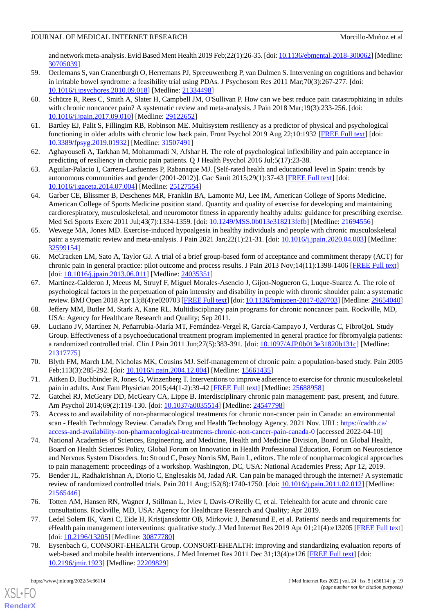and network meta-analysis. Evid Based Ment Health 2019 Feb;22(1):26-35. [doi: [10.1136/ebmental-2018-300062\]](http://dx.doi.org/10.1136/ebmental-2018-300062) [Medline: [30705039](http://www.ncbi.nlm.nih.gov/entrez/query.fcgi?cmd=Retrieve&db=PubMed&list_uids=30705039&dopt=Abstract)]

- 59. Oerlemans S, van Cranenburgh O, Herremans PJ, Spreeuwenberg P, van Dulmen S. Intervening on cognitions and behavior in irritable bowel syndrome: a feasibility trial using PDAs. J Psychosom Res 2011 Mar;70(3):267-277. [doi: [10.1016/j.jpsychores.2010.09.018](http://dx.doi.org/10.1016/j.jpsychores.2010.09.018)] [Medline: [21334498](http://www.ncbi.nlm.nih.gov/entrez/query.fcgi?cmd=Retrieve&db=PubMed&list_uids=21334498&dopt=Abstract)]
- <span id="page-18-5"></span>60. Schütze R, Rees C, Smith A, Slater H, Campbell JM, O'Sullivan P. How can we best reduce pain catastrophizing in adults with chronic noncancer pain? A systematic review and meta-analysis. J Pain 2018 Mar;19(3):233-256. [doi: [10.1016/j.jpain.2017.09.010\]](http://dx.doi.org/10.1016/j.jpain.2017.09.010) [Medline: [29122652](http://www.ncbi.nlm.nih.gov/entrez/query.fcgi?cmd=Retrieve&db=PubMed&list_uids=29122652&dopt=Abstract)]
- <span id="page-18-1"></span><span id="page-18-0"></span>61. Bartley EJ, Palit S, Fillingim RB, Robinson ME. Multisystem resiliency as a predictor of physical and psychological functioning in older adults with chronic low back pain. Front Psychol 2019 Aug 22;10:1932 [\[FREE Full text\]](https://doi.org/10.3389/fpsyg.2019.01932) [doi: [10.3389/fpsyg.2019.01932](http://dx.doi.org/10.3389/fpsyg.2019.01932)] [Medline: [31507491\]](http://www.ncbi.nlm.nih.gov/entrez/query.fcgi?cmd=Retrieve&db=PubMed&list_uids=31507491&dopt=Abstract)
- <span id="page-18-2"></span>62. Aghayousefi A, Tarkhan M, Mohammadi N, Afshar H. The role of psychological inflexibility and pain acceptance in predicting of resiliency in chronic pain patients. Q J Health Psychol 2016 Jul;5(17):23-38.
- <span id="page-18-3"></span>63. Aguilar-Palacio I, Carrera-Lasfuentes P, Rabanaque MJ. [Self-rated health and educational level in Spain: trends by autonomous communities and gender (2001-2012)]. Gac Sanit 2015;29(1):37-43 [\[FREE Full text\]](http://www.elsevier.es/en/linksolver/ft/pii/S0213-9111(14)00201-5) [doi: [10.1016/j.gaceta.2014.07.004](http://dx.doi.org/10.1016/j.gaceta.2014.07.004)] [Medline: [25127554\]](http://www.ncbi.nlm.nih.gov/entrez/query.fcgi?cmd=Retrieve&db=PubMed&list_uids=25127554&dopt=Abstract)
- <span id="page-18-4"></span>64. Garber CE, Blissmer B, Deschenes MR, Franklin BA, Lamonte MJ, Lee IM, American College of Sports Medicine. American College of Sports Medicine position stand. Quantity and quality of exercise for developing and maintaining cardiorespiratory, musculoskeletal, and neuromotor fitness in apparently healthy adults: guidance for prescribing exercise. Med Sci Sports Exerc 2011 Jul;43(7):1334-1359. [doi: [10.1249/MSS.0b013e318213fefb\]](http://dx.doi.org/10.1249/MSS.0b013e318213fefb) [Medline: [21694556\]](http://www.ncbi.nlm.nih.gov/entrez/query.fcgi?cmd=Retrieve&db=PubMed&list_uids=21694556&dopt=Abstract)
- <span id="page-18-6"></span>65. Wewege MA, Jones MD. Exercise-induced hypoalgesia in healthy individuals and people with chronic musculoskeletal pain: a systematic review and meta-analysis. J Pain 2021 Jan; 22(1): 21-31. [doi: 10.1016/j.jpain. 2020.04.003] [Medline: [32599154](http://www.ncbi.nlm.nih.gov/entrez/query.fcgi?cmd=Retrieve&db=PubMed&list_uids=32599154&dopt=Abstract)]
- <span id="page-18-7"></span>66. McCracken LM, Sato A, Taylor GJ. A trial of a brief group-based form of acceptance and commitment therapy (ACT) for chronic pain in general practice: pilot outcome and process results. J Pain 2013 Nov;14(11):1398-1406 [[FREE Full text](https://linkinghub.elsevier.com/retrieve/pii/S1526-5900(13)01132-2)] [doi: [10.1016/j.jpain.2013.06.011\]](http://dx.doi.org/10.1016/j.jpain.2013.06.011) [Medline: [24035351\]](http://www.ncbi.nlm.nih.gov/entrez/query.fcgi?cmd=Retrieve&db=PubMed&list_uids=24035351&dopt=Abstract)
- <span id="page-18-9"></span><span id="page-18-8"></span>67. Martinez-Calderon J, Meeus M, Struyf F, Miguel Morales-Asencio J, Gijon-Nogueron G, Luque-Suarez A. The role of psychological factors in the perpetuation of pain intensity and disability in people with chronic shoulder pain: a systematic review. BMJ Open 2018 Apr 13;8(4):e020703 [\[FREE Full text](https://bmjopen.bmj.com/lookup/pmidlookup?view=long&pmid=29654040)] [doi: [10.1136/bmjopen-2017-020703](http://dx.doi.org/10.1136/bmjopen-2017-020703)] [Medline: [29654040](http://www.ncbi.nlm.nih.gov/entrez/query.fcgi?cmd=Retrieve&db=PubMed&list_uids=29654040&dopt=Abstract)]
- 68. Jeffery MM, Butler M, Stark A, Kane RL. Multidisciplinary pain programs for chronic noncancer pain. Rockville, MD, USA: Agency for Healthcare Research and Quality; Sep 2011.
- <span id="page-18-11"></span><span id="page-18-10"></span>69. Luciano JV, Martínez N, Peñarrubia-María MT, Fernández-Vergel R, García-Campayo J, Verduras C, FibroQoL Study Group. Effectiveness of a psychoeducational treatment program implemented in general practice for fibromyalgia patients: a randomized controlled trial. Clin J Pain 2011 Jun; 27(5):383-391. [doi: [10.1097/AJP.0b013e31820b131c](http://dx.doi.org/10.1097/AJP.0b013e31820b131c)] [Medline: [21317775](http://www.ncbi.nlm.nih.gov/entrez/query.fcgi?cmd=Retrieve&db=PubMed&list_uids=21317775&dopt=Abstract)]
- <span id="page-18-12"></span>70. Blyth FM, March LM, Nicholas MK, Cousins MJ. Self-management of chronic pain: a population-based study. Pain 2005 Feb;113(3):285-292. [doi: [10.1016/j.pain.2004.12.004\]](http://dx.doi.org/10.1016/j.pain.2004.12.004) [Medline: [15661435\]](http://www.ncbi.nlm.nih.gov/entrez/query.fcgi?cmd=Retrieve&db=PubMed&list_uids=15661435&dopt=Abstract)
- <span id="page-18-16"></span>71. Aitken D, Buchbinder R, Jones G, Winzenberg T. Interventions to improve adherence to exercise for chronic musculoskeletal pain in adults. Aust Fam Physician 2015;44(1-2):39-42 [[FREE Full text](http://www.racgp.org.au/afp/2015/januaryfebruary/interventions-to-improve-adherence-to-exercise-for-chronic-musculoskeletal-pain-in-adults/)] [Medline: [25688958](http://www.ncbi.nlm.nih.gov/entrez/query.fcgi?cmd=Retrieve&db=PubMed&list_uids=25688958&dopt=Abstract)]
- <span id="page-18-13"></span>72. Gatchel RJ, McGeary DD, McGeary CA, Lippe B. Interdisciplinary chronic pain management: past, present, and future. Am Psychol 2014;69(2):119-130. [doi: [10.1037/a0035514\]](http://dx.doi.org/10.1037/a0035514) [Medline: [24547798\]](http://www.ncbi.nlm.nih.gov/entrez/query.fcgi?cmd=Retrieve&db=PubMed&list_uids=24547798&dopt=Abstract)
- 73. Access to and availability of non-pharmacological treatments for chronic non-cancer pain in Canada: an environmental scan - Health Technology Review. Canada's Drug and Health Technology Agency. 2021 Nov. URL: [https://cadth.ca/](https://cadth.ca/access-and-availability-non-pharmacological-treatments-chronic-non-cancer-pain-canada-0) [access-and-availability-non-pharmacological-treatments-chronic-non-cancer-pain-canada-0](https://cadth.ca/access-and-availability-non-pharmacological-treatments-chronic-non-cancer-pain-canada-0) [accessed 2022-04-10]
- <span id="page-18-14"></span>74. National Academies of Sciences, Engineering, and Medicine, Health and Medicine Division, Board on Global Health, Board on Health Sciences Policy, Global Forum on Innovation in Health Professional Education, Forum on Neuroscience and Nervous System Disorders. In: Stroud C, Posey Norris SM, Bain L, editors. The role of nonpharmacological approaches to pain management: proceedings of a workshop. Washington, DC, USA: National Academies Press; Apr 12, 2019.
- <span id="page-18-15"></span>75. Bender JL, Radhakrishnan A, Diorio C, Englesakis M, Jadad AR. Can pain be managed through the internet? A systematic review of randomized controlled trials. Pain 2011 Aug;152(8):1740-1750. [doi: [10.1016/j.pain.2011.02.012](http://dx.doi.org/10.1016/j.pain.2011.02.012)] [Medline: [21565446](http://www.ncbi.nlm.nih.gov/entrez/query.fcgi?cmd=Retrieve&db=PubMed&list_uids=21565446&dopt=Abstract)]
- <span id="page-18-17"></span>76. Totten AM, Hansen RN, Wagner J, Stillman L, Ivlev I, Davis-O'Reilly C, et al. Telehealth for acute and chronic care consultations. Rockville, MD, USA: Agency for Healthcare Research and Quality; Apr 2019.
- 77. Ledel Solem IK, Varsi C, Eide H, Kristjansdottir OB, Mirkovic J, Børøsund E, et al. Patients' needs and requirements for eHealth pain management interventions: qualitative study. J Med Internet Res 2019 Apr 01;21(4):e13205 [[FREE Full text](https://www.jmir.org/2019/4/e13205/)] [doi: [10.2196/13205](http://dx.doi.org/10.2196/13205)] [Medline: [30877780\]](http://www.ncbi.nlm.nih.gov/entrez/query.fcgi?cmd=Retrieve&db=PubMed&list_uids=30877780&dopt=Abstract)
- 78. Eysenbach G, CONSORT-EHEALTH Group. CONSORT-EHEALTH: improving and standardizing evaluation reports of web-based and mobile health interventions. J Med Internet Res 2011 Dec 31;13(4):e126 [[FREE Full text](https://www.jmir.org/2011/4/e126/)] [doi: [10.2196/jmir.1923](http://dx.doi.org/10.2196/jmir.1923)] [Medline: [22209829](http://www.ncbi.nlm.nih.gov/entrez/query.fcgi?cmd=Retrieve&db=PubMed&list_uids=22209829&dopt=Abstract)]